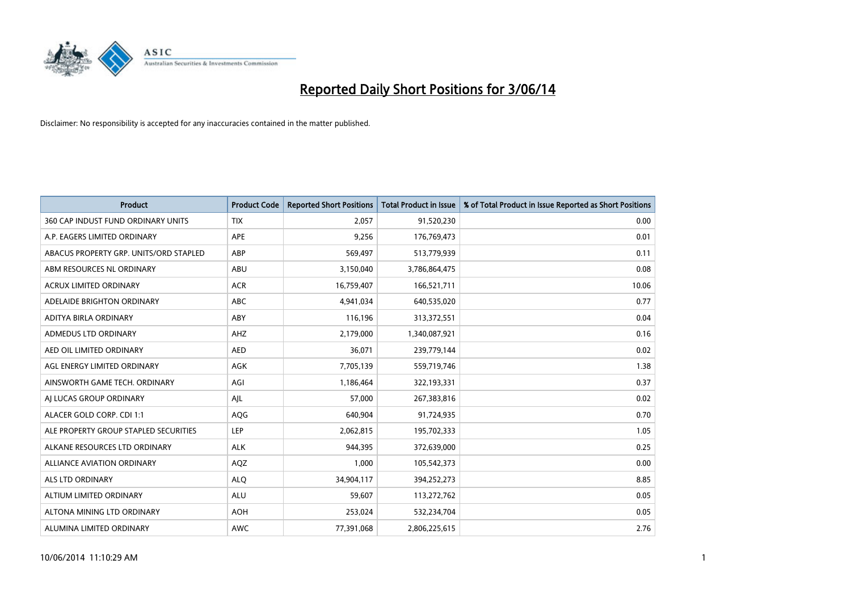

| <b>Product</b>                         | <b>Product Code</b> | <b>Reported Short Positions</b> | <b>Total Product in Issue</b> | % of Total Product in Issue Reported as Short Positions |
|----------------------------------------|---------------------|---------------------------------|-------------------------------|---------------------------------------------------------|
| 360 CAP INDUST FUND ORDINARY UNITS     | <b>TIX</b>          | 2,057                           | 91,520,230                    | 0.00                                                    |
| A.P. EAGERS LIMITED ORDINARY           | APE                 | 9,256                           | 176,769,473                   | 0.01                                                    |
| ABACUS PROPERTY GRP. UNITS/ORD STAPLED | ABP                 | 569,497                         | 513,779,939                   | 0.11                                                    |
| ABM RESOURCES NL ORDINARY              | ABU                 | 3,150,040                       | 3,786,864,475                 | 0.08                                                    |
| <b>ACRUX LIMITED ORDINARY</b>          | <b>ACR</b>          | 16,759,407                      | 166,521,711                   | 10.06                                                   |
| ADELAIDE BRIGHTON ORDINARY             | <b>ABC</b>          | 4,941,034                       | 640,535,020                   | 0.77                                                    |
| ADITYA BIRLA ORDINARY                  | ABY                 | 116,196                         | 313,372,551                   | 0.04                                                    |
| ADMEDUS LTD ORDINARY                   | AHZ                 | 2,179,000                       | 1,340,087,921                 | 0.16                                                    |
| AED OIL LIMITED ORDINARY               | <b>AED</b>          | 36,071                          | 239,779,144                   | 0.02                                                    |
| AGL ENERGY LIMITED ORDINARY            | <b>AGK</b>          | 7,705,139                       | 559,719,746                   | 1.38                                                    |
| AINSWORTH GAME TECH. ORDINARY          | AGI                 | 1,186,464                       | 322,193,331                   | 0.37                                                    |
| AI LUCAS GROUP ORDINARY                | AJL                 | 57,000                          | 267,383,816                   | 0.02                                                    |
| ALACER GOLD CORP. CDI 1:1              | AQG                 | 640,904                         | 91,724,935                    | 0.70                                                    |
| ALE PROPERTY GROUP STAPLED SECURITIES  | LEP                 | 2,062,815                       | 195,702,333                   | 1.05                                                    |
| ALKANE RESOURCES LTD ORDINARY          | <b>ALK</b>          | 944,395                         | 372,639,000                   | 0.25                                                    |
| ALLIANCE AVIATION ORDINARY             | AQZ                 | 1,000                           | 105,542,373                   | 0.00                                                    |
| ALS LTD ORDINARY                       | <b>ALQ</b>          | 34,904,117                      | 394,252,273                   | 8.85                                                    |
| ALTIUM LIMITED ORDINARY                | ALU                 | 59,607                          | 113,272,762                   | 0.05                                                    |
| ALTONA MINING LTD ORDINARY             | <b>AOH</b>          | 253,024                         | 532,234,704                   | 0.05                                                    |
| ALUMINA LIMITED ORDINARY               | <b>AWC</b>          | 77,391,068                      | 2,806,225,615                 | 2.76                                                    |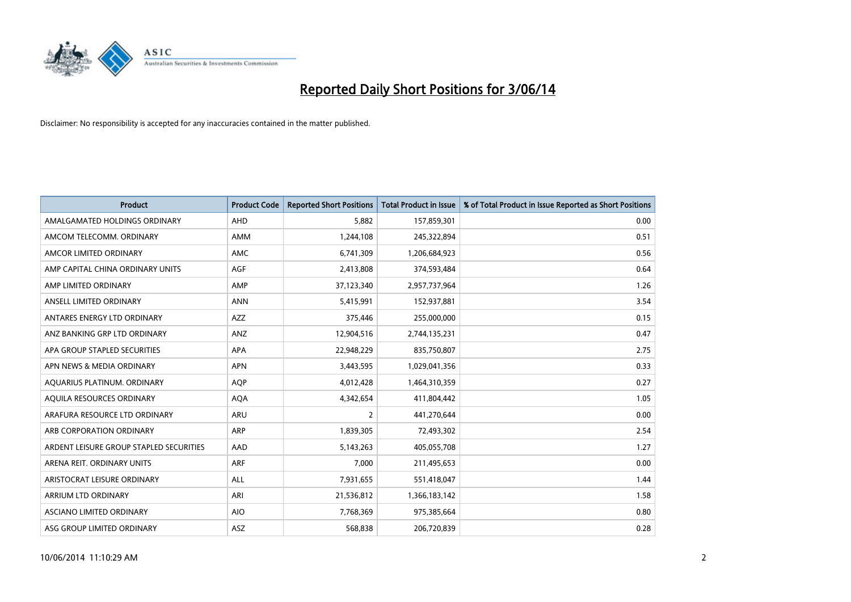

| <b>Product</b>                          | <b>Product Code</b> | <b>Reported Short Positions</b> | <b>Total Product in Issue</b> | % of Total Product in Issue Reported as Short Positions |
|-----------------------------------------|---------------------|---------------------------------|-------------------------------|---------------------------------------------------------|
| AMALGAMATED HOLDINGS ORDINARY           | <b>AHD</b>          | 5.882                           | 157,859,301                   | 0.00                                                    |
| AMCOM TELECOMM, ORDINARY                | AMM                 | 1,244,108                       | 245,322,894                   | 0.51                                                    |
| AMCOR LIMITED ORDINARY                  | AMC                 | 6,741,309                       | 1,206,684,923                 | 0.56                                                    |
| AMP CAPITAL CHINA ORDINARY UNITS        | AGF                 | 2,413,808                       | 374,593,484                   | 0.64                                                    |
| AMP LIMITED ORDINARY                    | AMP                 | 37,123,340                      | 2,957,737,964                 | 1.26                                                    |
| ANSELL LIMITED ORDINARY                 | <b>ANN</b>          | 5,415,991                       | 152,937,881                   | 3.54                                                    |
| ANTARES ENERGY LTD ORDINARY             | AZZ                 | 375,446                         | 255,000,000                   | 0.15                                                    |
| ANZ BANKING GRP LTD ORDINARY            | ANZ                 | 12,904,516                      | 2,744,135,231                 | 0.47                                                    |
| APA GROUP STAPLED SECURITIES            | APA                 | 22,948,229                      | 835,750,807                   | 2.75                                                    |
| APN NEWS & MEDIA ORDINARY               | <b>APN</b>          | 3,443,595                       | 1,029,041,356                 | 0.33                                                    |
| AQUARIUS PLATINUM. ORDINARY             | AQP                 | 4,012,428                       | 1,464,310,359                 | 0.27                                                    |
| AQUILA RESOURCES ORDINARY               | <b>AQA</b>          | 4,342,654                       | 411,804,442                   | 1.05                                                    |
| ARAFURA RESOURCE LTD ORDINARY           | <b>ARU</b>          | $\overline{2}$                  | 441,270,644                   | 0.00                                                    |
| ARB CORPORATION ORDINARY                | <b>ARP</b>          | 1,839,305                       | 72,493,302                    | 2.54                                                    |
| ARDENT LEISURE GROUP STAPLED SECURITIES | AAD                 | 5,143,263                       | 405,055,708                   | 1.27                                                    |
| ARENA REIT. ORDINARY UNITS              | ARF                 | 7,000                           | 211,495,653                   | 0.00                                                    |
| ARISTOCRAT LEISURE ORDINARY             | ALL                 | 7,931,655                       | 551,418,047                   | 1.44                                                    |
| ARRIUM LTD ORDINARY                     | ARI                 | 21,536,812                      | 1,366,183,142                 | 1.58                                                    |
| ASCIANO LIMITED ORDINARY                | <b>AIO</b>          | 7,768,369                       | 975,385,664                   | 0.80                                                    |
| ASG GROUP LIMITED ORDINARY              | ASZ                 | 568,838                         | 206,720,839                   | 0.28                                                    |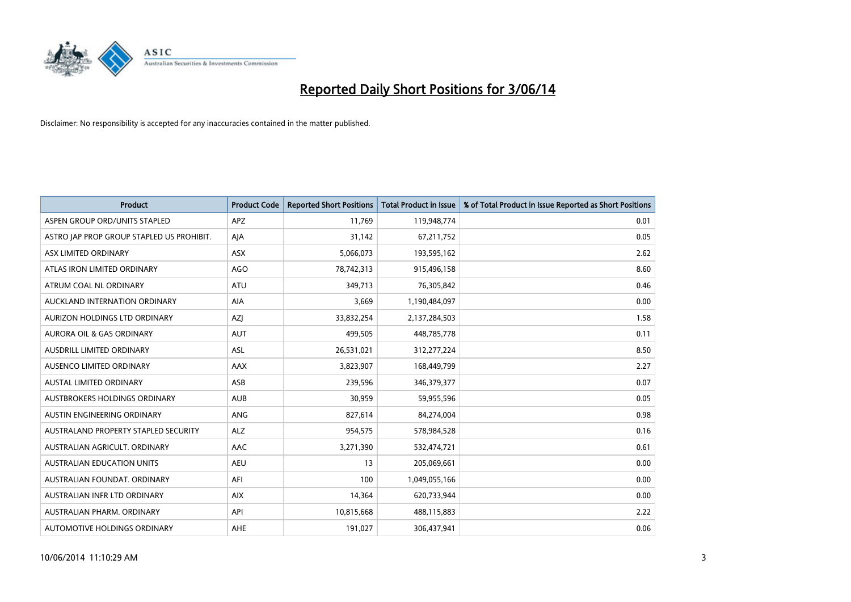

| <b>Product</b>                            | <b>Product Code</b> | <b>Reported Short Positions</b> | <b>Total Product in Issue</b> | % of Total Product in Issue Reported as Short Positions |
|-------------------------------------------|---------------------|---------------------------------|-------------------------------|---------------------------------------------------------|
| ASPEN GROUP ORD/UNITS STAPLED             | <b>APZ</b>          | 11,769                          | 119,948,774                   | 0.01                                                    |
| ASTRO JAP PROP GROUP STAPLED US PROHIBIT. | AJA                 | 31,142                          | 67,211,752                    | 0.05                                                    |
| ASX LIMITED ORDINARY                      | <b>ASX</b>          | 5,066,073                       | 193,595,162                   | 2.62                                                    |
| ATLAS IRON LIMITED ORDINARY               | <b>AGO</b>          | 78,742,313                      | 915,496,158                   | 8.60                                                    |
| ATRUM COAL NL ORDINARY                    | <b>ATU</b>          | 349,713                         | 76,305,842                    | 0.46                                                    |
| AUCKLAND INTERNATION ORDINARY             | <b>AIA</b>          | 3,669                           | 1,190,484,097                 | 0.00                                                    |
| AURIZON HOLDINGS LTD ORDINARY             | AZJ                 | 33,832,254                      | 2,137,284,503                 | 1.58                                                    |
| AURORA OIL & GAS ORDINARY                 | <b>AUT</b>          | 499,505                         | 448,785,778                   | 0.11                                                    |
| AUSDRILL LIMITED ORDINARY                 | <b>ASL</b>          | 26,531,021                      | 312,277,224                   | 8.50                                                    |
| AUSENCO LIMITED ORDINARY                  | AAX                 | 3,823,907                       | 168,449,799                   | 2.27                                                    |
| AUSTAL LIMITED ORDINARY                   | ASB                 | 239,596                         | 346,379,377                   | 0.07                                                    |
| AUSTBROKERS HOLDINGS ORDINARY             | <b>AUB</b>          | 30,959                          | 59,955,596                    | 0.05                                                    |
| AUSTIN ENGINEERING ORDINARY               | ANG                 | 827,614                         | 84,274,004                    | 0.98                                                    |
| AUSTRALAND PROPERTY STAPLED SECURITY      | <b>ALZ</b>          | 954,575                         | 578,984,528                   | 0.16                                                    |
| AUSTRALIAN AGRICULT, ORDINARY             | <b>AAC</b>          | 3,271,390                       | 532,474,721                   | 0.61                                                    |
| AUSTRALIAN EDUCATION UNITS                | <b>AEU</b>          | 13                              | 205,069,661                   | 0.00                                                    |
| AUSTRALIAN FOUNDAT. ORDINARY              | AFI                 | 100                             | 1,049,055,166                 | 0.00                                                    |
| AUSTRALIAN INFR LTD ORDINARY              | <b>AIX</b>          | 14,364                          | 620,733,944                   | 0.00                                                    |
| AUSTRALIAN PHARM, ORDINARY                | API                 | 10,815,668                      | 488,115,883                   | 2.22                                                    |
| AUTOMOTIVE HOLDINGS ORDINARY              | AHE                 | 191,027                         | 306,437,941                   | 0.06                                                    |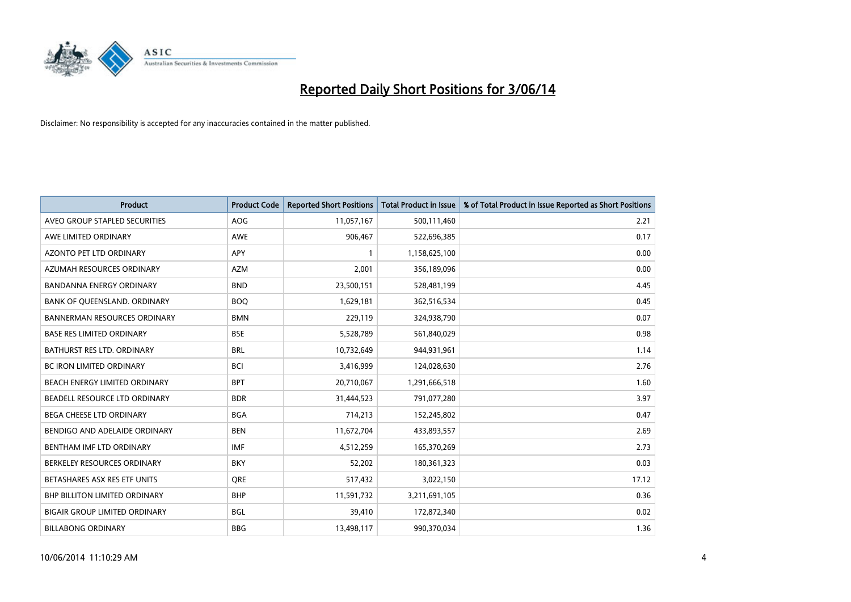

| <b>Product</b>                       | <b>Product Code</b> | <b>Reported Short Positions</b> | <b>Total Product in Issue</b> | % of Total Product in Issue Reported as Short Positions |
|--------------------------------------|---------------------|---------------------------------|-------------------------------|---------------------------------------------------------|
| AVEO GROUP STAPLED SECURITIES        | <b>AOG</b>          | 11,057,167                      | 500,111,460                   | 2.21                                                    |
| AWE LIMITED ORDINARY                 | AWE                 | 906,467                         | 522,696,385                   | 0.17                                                    |
| <b>AZONTO PET LTD ORDINARY</b>       | <b>APY</b>          | 1                               | 1,158,625,100                 | 0.00                                                    |
| AZUMAH RESOURCES ORDINARY            | <b>AZM</b>          | 2,001                           | 356,189,096                   | 0.00                                                    |
| <b>BANDANNA ENERGY ORDINARY</b>      | <b>BND</b>          | 23,500,151                      | 528,481,199                   | 4.45                                                    |
| BANK OF QUEENSLAND. ORDINARY         | <b>BOQ</b>          | 1,629,181                       | 362,516,534                   | 0.45                                                    |
| <b>BANNERMAN RESOURCES ORDINARY</b>  | <b>BMN</b>          | 229,119                         | 324,938,790                   | 0.07                                                    |
| <b>BASE RES LIMITED ORDINARY</b>     | <b>BSE</b>          | 5,528,789                       | 561,840,029                   | 0.98                                                    |
| BATHURST RES LTD. ORDINARY           | <b>BRL</b>          | 10,732,649                      | 944,931,961                   | 1.14                                                    |
| <b>BC IRON LIMITED ORDINARY</b>      | <b>BCI</b>          | 3,416,999                       | 124,028,630                   | 2.76                                                    |
| BEACH ENERGY LIMITED ORDINARY        | <b>BPT</b>          | 20,710,067                      | 1,291,666,518                 | 1.60                                                    |
| BEADELL RESOURCE LTD ORDINARY        | <b>BDR</b>          | 31,444,523                      | 791,077,280                   | 3.97                                                    |
| BEGA CHEESE LTD ORDINARY             | <b>BGA</b>          | 714,213                         | 152,245,802                   | 0.47                                                    |
| BENDIGO AND ADELAIDE ORDINARY        | <b>BEN</b>          | 11,672,704                      | 433,893,557                   | 2.69                                                    |
| BENTHAM IMF LTD ORDINARY             | IMF                 | 4,512,259                       | 165,370,269                   | 2.73                                                    |
| BERKELEY RESOURCES ORDINARY          | <b>BKY</b>          | 52,202                          | 180,361,323                   | 0.03                                                    |
| BETASHARES ASX RES ETF UNITS         | <b>ORE</b>          | 517,432                         | 3,022,150                     | 17.12                                                   |
| <b>BHP BILLITON LIMITED ORDINARY</b> | <b>BHP</b>          | 11,591,732                      | 3,211,691,105                 | 0.36                                                    |
| <b>BIGAIR GROUP LIMITED ORDINARY</b> | <b>BGL</b>          | 39,410                          | 172,872,340                   | 0.02                                                    |
| <b>BILLABONG ORDINARY</b>            | <b>BBG</b>          | 13,498,117                      | 990,370,034                   | 1.36                                                    |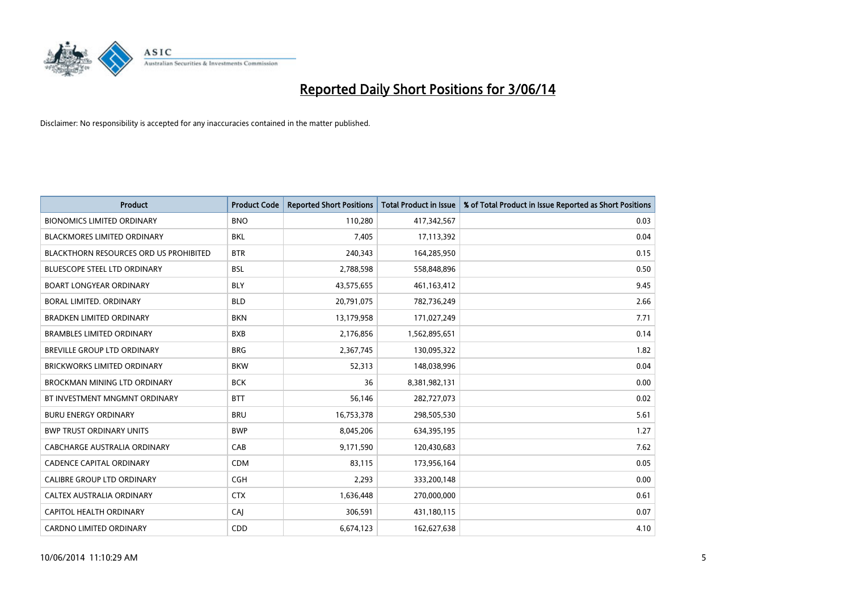

| <b>Product</b>                                | <b>Product Code</b> | <b>Reported Short Positions</b> | <b>Total Product in Issue</b> | % of Total Product in Issue Reported as Short Positions |
|-----------------------------------------------|---------------------|---------------------------------|-------------------------------|---------------------------------------------------------|
| <b>BIONOMICS LIMITED ORDINARY</b>             | <b>BNO</b>          | 110,280                         | 417,342,567                   | 0.03                                                    |
| <b>BLACKMORES LIMITED ORDINARY</b>            | BKL                 | 7,405                           | 17,113,392                    | 0.04                                                    |
| <b>BLACKTHORN RESOURCES ORD US PROHIBITED</b> | <b>BTR</b>          | 240,343                         | 164,285,950                   | 0.15                                                    |
| BLUESCOPE STEEL LTD ORDINARY                  | <b>BSL</b>          | 2,788,598                       | 558,848,896                   | 0.50                                                    |
| <b>BOART LONGYEAR ORDINARY</b>                | <b>BLY</b>          | 43,575,655                      | 461,163,412                   | 9.45                                                    |
| <b>BORAL LIMITED, ORDINARY</b>                | <b>BLD</b>          | 20,791,075                      | 782,736,249                   | 2.66                                                    |
| <b>BRADKEN LIMITED ORDINARY</b>               | <b>BKN</b>          | 13,179,958                      | 171,027,249                   | 7.71                                                    |
| <b>BRAMBLES LIMITED ORDINARY</b>              | <b>BXB</b>          | 2,176,856                       | 1,562,895,651                 | 0.14                                                    |
| <b>BREVILLE GROUP LTD ORDINARY</b>            | <b>BRG</b>          | 2,367,745                       | 130,095,322                   | 1.82                                                    |
| <b>BRICKWORKS LIMITED ORDINARY</b>            | <b>BKW</b>          | 52,313                          | 148,038,996                   | 0.04                                                    |
| <b>BROCKMAN MINING LTD ORDINARY</b>           | <b>BCK</b>          | 36                              | 8,381,982,131                 | 0.00                                                    |
| BT INVESTMENT MNGMNT ORDINARY                 | <b>BTT</b>          | 56,146                          | 282,727,073                   | 0.02                                                    |
| <b>BURU ENERGY ORDINARY</b>                   | <b>BRU</b>          | 16,753,378                      | 298,505,530                   | 5.61                                                    |
| <b>BWP TRUST ORDINARY UNITS</b>               | <b>BWP</b>          | 8,045,206                       | 634,395,195                   | 1.27                                                    |
| <b>CABCHARGE AUSTRALIA ORDINARY</b>           | CAB                 | 9,171,590                       | 120,430,683                   | 7.62                                                    |
| <b>CADENCE CAPITAL ORDINARY</b>               | <b>CDM</b>          | 83,115                          | 173,956,164                   | 0.05                                                    |
| CALIBRE GROUP LTD ORDINARY                    | <b>CGH</b>          | 2,293                           | 333,200,148                   | 0.00                                                    |
| CALTEX AUSTRALIA ORDINARY                     | <b>CTX</b>          | 1,636,448                       | 270,000,000                   | 0.61                                                    |
| <b>CAPITOL HEALTH ORDINARY</b>                | CAI                 | 306,591                         | 431,180,115                   | 0.07                                                    |
| <b>CARDNO LIMITED ORDINARY</b>                | CDD                 | 6,674,123                       | 162,627,638                   | 4.10                                                    |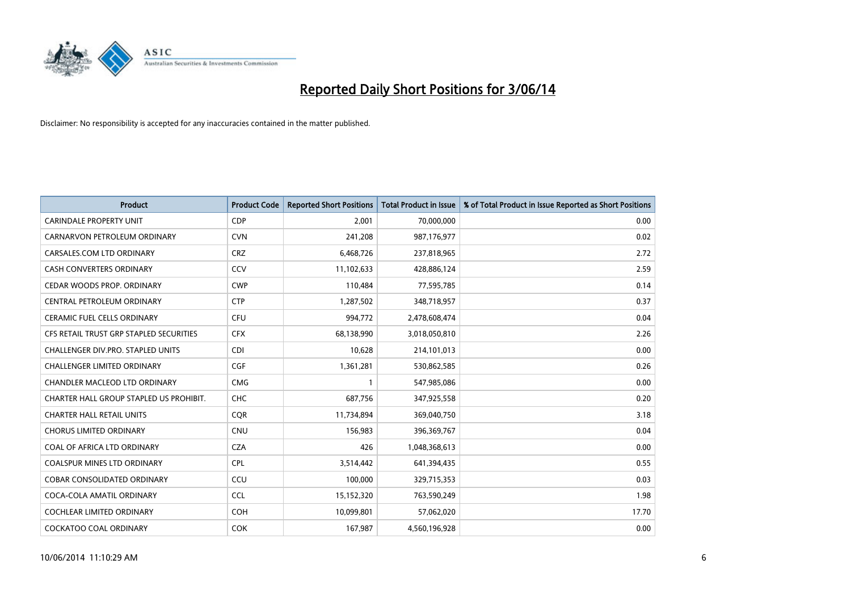

| <b>Product</b>                          | <b>Product Code</b> | <b>Reported Short Positions</b> | <b>Total Product in Issue</b> | % of Total Product in Issue Reported as Short Positions |
|-----------------------------------------|---------------------|---------------------------------|-------------------------------|---------------------------------------------------------|
| <b>CARINDALE PROPERTY UNIT</b>          | <b>CDP</b>          | 2,001                           | 70,000,000                    | 0.00                                                    |
| CARNARVON PETROLEUM ORDINARY            | <b>CVN</b>          | 241,208                         | 987,176,977                   | 0.02                                                    |
| CARSALES.COM LTD ORDINARY               | <b>CRZ</b>          | 6,468,726                       | 237,818,965                   | 2.72                                                    |
| CASH CONVERTERS ORDINARY                | CCV                 | 11,102,633                      | 428,886,124                   | 2.59                                                    |
| CEDAR WOODS PROP. ORDINARY              | <b>CWP</b>          | 110,484                         | 77,595,785                    | 0.14                                                    |
| CENTRAL PETROLEUM ORDINARY              | <b>CTP</b>          | 1,287,502                       | 348,718,957                   | 0.37                                                    |
| CERAMIC FUEL CELLS ORDINARY             | <b>CFU</b>          | 994,772                         | 2,478,608,474                 | 0.04                                                    |
| CFS RETAIL TRUST GRP STAPLED SECURITIES | <b>CFX</b>          | 68,138,990                      | 3,018,050,810                 | 2.26                                                    |
| CHALLENGER DIV.PRO. STAPLED UNITS       | <b>CDI</b>          | 10,628                          | 214,101,013                   | 0.00                                                    |
| <b>CHALLENGER LIMITED ORDINARY</b>      | <b>CGF</b>          | 1,361,281                       | 530,862,585                   | 0.26                                                    |
| CHANDLER MACLEOD LTD ORDINARY           | <b>CMG</b>          | 1                               | 547,985,086                   | 0.00                                                    |
| CHARTER HALL GROUP STAPLED US PROHIBIT. | <b>CHC</b>          | 687,756                         | 347,925,558                   | 0.20                                                    |
| <b>CHARTER HALL RETAIL UNITS</b>        | <b>CQR</b>          | 11,734,894                      | 369,040,750                   | 3.18                                                    |
| <b>CHORUS LIMITED ORDINARY</b>          | <b>CNU</b>          | 156,983                         | 396,369,767                   | 0.04                                                    |
| COAL OF AFRICA LTD ORDINARY             | <b>CZA</b>          | 426                             | 1,048,368,613                 | 0.00                                                    |
| <b>COALSPUR MINES LTD ORDINARY</b>      | <b>CPL</b>          | 3,514,442                       | 641,394,435                   | 0.55                                                    |
| <b>COBAR CONSOLIDATED ORDINARY</b>      | CCU                 | 100,000                         | 329,715,353                   | 0.03                                                    |
| COCA-COLA AMATIL ORDINARY               | <b>CCL</b>          | 15,152,320                      | 763,590,249                   | 1.98                                                    |
| <b>COCHLEAR LIMITED ORDINARY</b>        | <b>COH</b>          | 10,099,801                      | 57,062,020                    | 17.70                                                   |
| <b>COCKATOO COAL ORDINARY</b>           | <b>COK</b>          | 167,987                         | 4,560,196,928                 | 0.00                                                    |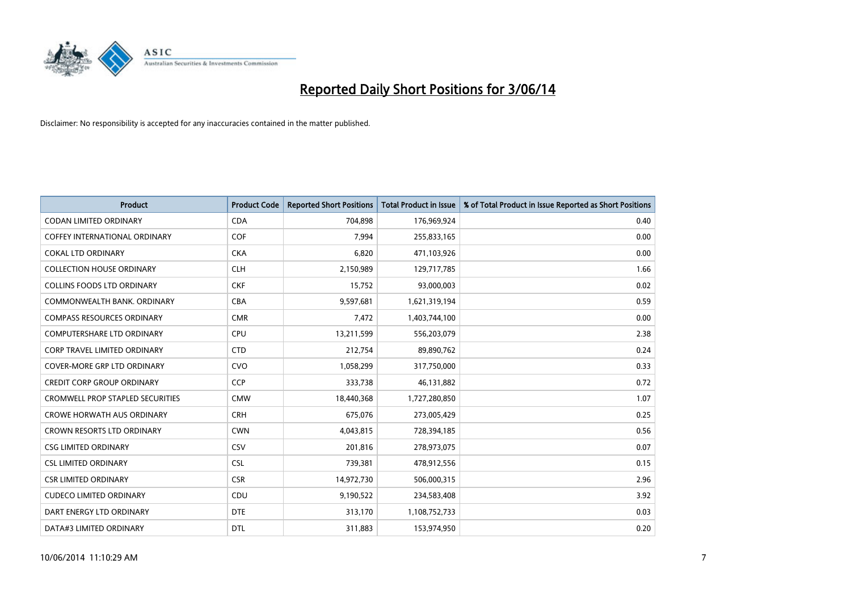

| <b>Product</b>                          | <b>Product Code</b> | <b>Reported Short Positions</b> | <b>Total Product in Issue</b> | % of Total Product in Issue Reported as Short Positions |
|-----------------------------------------|---------------------|---------------------------------|-------------------------------|---------------------------------------------------------|
| <b>CODAN LIMITED ORDINARY</b>           | <b>CDA</b>          | 704,898                         | 176,969,924                   | 0.40                                                    |
| <b>COFFEY INTERNATIONAL ORDINARY</b>    | <b>COF</b>          | 7,994                           | 255,833,165                   | 0.00                                                    |
| <b>COKAL LTD ORDINARY</b>               | <b>CKA</b>          | 6,820                           | 471,103,926                   | 0.00                                                    |
| <b>COLLECTION HOUSE ORDINARY</b>        | <b>CLH</b>          | 2,150,989                       | 129,717,785                   | 1.66                                                    |
| <b>COLLINS FOODS LTD ORDINARY</b>       | <b>CKF</b>          | 15,752                          | 93,000,003                    | 0.02                                                    |
| COMMONWEALTH BANK, ORDINARY             | <b>CBA</b>          | 9,597,681                       | 1,621,319,194                 | 0.59                                                    |
| <b>COMPASS RESOURCES ORDINARY</b>       | <b>CMR</b>          | 7,472                           | 1,403,744,100                 | 0.00                                                    |
| <b>COMPUTERSHARE LTD ORDINARY</b>       | <b>CPU</b>          | 13,211,599                      | 556,203,079                   | 2.38                                                    |
| <b>CORP TRAVEL LIMITED ORDINARY</b>     | <b>CTD</b>          | 212,754                         | 89,890,762                    | 0.24                                                    |
| <b>COVER-MORE GRP LTD ORDINARY</b>      | <b>CVO</b>          | 1,058,299                       | 317,750,000                   | 0.33                                                    |
| <b>CREDIT CORP GROUP ORDINARY</b>       | <b>CCP</b>          | 333,738                         | 46,131,882                    | 0.72                                                    |
| <b>CROMWELL PROP STAPLED SECURITIES</b> | <b>CMW</b>          | 18,440,368                      | 1,727,280,850                 | 1.07                                                    |
| <b>CROWE HORWATH AUS ORDINARY</b>       | <b>CRH</b>          | 675,076                         | 273,005,429                   | 0.25                                                    |
| <b>CROWN RESORTS LTD ORDINARY</b>       | <b>CWN</b>          | 4,043,815                       | 728,394,185                   | 0.56                                                    |
| <b>CSG LIMITED ORDINARY</b>             | CSV                 | 201,816                         | 278,973,075                   | 0.07                                                    |
| <b>CSL LIMITED ORDINARY</b>             | <b>CSL</b>          | 739,381                         | 478,912,556                   | 0.15                                                    |
| <b>CSR LIMITED ORDINARY</b>             | <b>CSR</b>          | 14,972,730                      | 506,000,315                   | 2.96                                                    |
| <b>CUDECO LIMITED ORDINARY</b>          | <b>CDU</b>          | 9,190,522                       | 234,583,408                   | 3.92                                                    |
| DART ENERGY LTD ORDINARY                | <b>DTE</b>          | 313,170                         | 1,108,752,733                 | 0.03                                                    |
| DATA#3 LIMITED ORDINARY                 | <b>DTL</b>          | 311,883                         | 153,974,950                   | 0.20                                                    |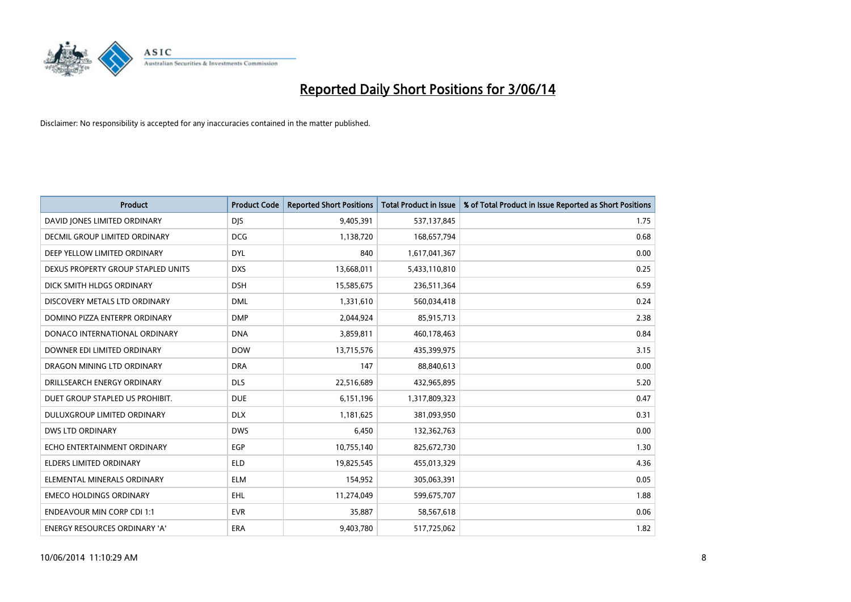

| <b>Product</b>                       | <b>Product Code</b> | <b>Reported Short Positions</b> | <b>Total Product in Issue</b> | % of Total Product in Issue Reported as Short Positions |
|--------------------------------------|---------------------|---------------------------------|-------------------------------|---------------------------------------------------------|
| DAVID JONES LIMITED ORDINARY         | <b>DJS</b>          | 9,405,391                       | 537,137,845                   | 1.75                                                    |
| DECMIL GROUP LIMITED ORDINARY        | <b>DCG</b>          | 1,138,720                       | 168,657,794                   | 0.68                                                    |
| DEEP YELLOW LIMITED ORDINARY         | <b>DYL</b>          | 840                             | 1,617,041,367                 | 0.00                                                    |
| DEXUS PROPERTY GROUP STAPLED UNITS   | <b>DXS</b>          | 13,668,011                      | 5,433,110,810                 | 0.25                                                    |
| DICK SMITH HLDGS ORDINARY            | <b>DSH</b>          | 15,585,675                      | 236,511,364                   | 6.59                                                    |
| DISCOVERY METALS LTD ORDINARY        | <b>DML</b>          | 1,331,610                       | 560,034,418                   | 0.24                                                    |
| DOMINO PIZZA ENTERPR ORDINARY        | <b>DMP</b>          | 2,044,924                       | 85,915,713                    | 2.38                                                    |
| DONACO INTERNATIONAL ORDINARY        | <b>DNA</b>          | 3,859,811                       | 460,178,463                   | 0.84                                                    |
| DOWNER EDI LIMITED ORDINARY          | <b>DOW</b>          | 13,715,576                      | 435,399,975                   | 3.15                                                    |
| DRAGON MINING LTD ORDINARY           | <b>DRA</b>          | 147                             | 88,840,613                    | 0.00                                                    |
| DRILLSEARCH ENERGY ORDINARY          | <b>DLS</b>          | 22,516,689                      | 432,965,895                   | 5.20                                                    |
| DUET GROUP STAPLED US PROHIBIT.      | <b>DUE</b>          | 6,151,196                       | 1,317,809,323                 | 0.47                                                    |
| DULUXGROUP LIMITED ORDINARY          | <b>DLX</b>          | 1,181,625                       | 381,093,950                   | 0.31                                                    |
| DWS LTD ORDINARY                     | <b>DWS</b>          | 6,450                           | 132,362,763                   | 0.00                                                    |
| ECHO ENTERTAINMENT ORDINARY          | EGP                 | 10,755,140                      | 825,672,730                   | 1.30                                                    |
| ELDERS LIMITED ORDINARY              | <b>ELD</b>          | 19,825,545                      | 455,013,329                   | 4.36                                                    |
| ELEMENTAL MINERALS ORDINARY          | <b>ELM</b>          | 154,952                         | 305,063,391                   | 0.05                                                    |
| <b>EMECO HOLDINGS ORDINARY</b>       | <b>EHL</b>          | 11,274,049                      | 599,675,707                   | 1.88                                                    |
| <b>ENDEAVOUR MIN CORP CDI 1:1</b>    | <b>EVR</b>          | 35,887                          | 58,567,618                    | 0.06                                                    |
| <b>ENERGY RESOURCES ORDINARY 'A'</b> | ERA                 | 9,403,780                       | 517,725,062                   | 1.82                                                    |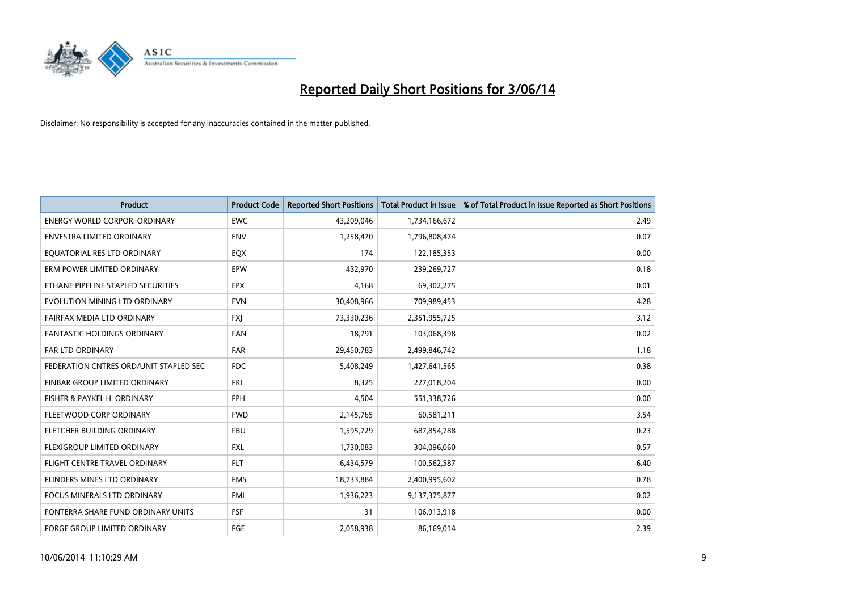

| <b>Product</b>                         | <b>Product Code</b> | <b>Reported Short Positions</b> | <b>Total Product in Issue</b> | % of Total Product in Issue Reported as Short Positions |
|----------------------------------------|---------------------|---------------------------------|-------------------------------|---------------------------------------------------------|
| <b>ENERGY WORLD CORPOR, ORDINARY</b>   | <b>EWC</b>          | 43,209,046                      | 1,734,166,672                 | 2.49                                                    |
| ENVESTRA LIMITED ORDINARY              | <b>ENV</b>          | 1,258,470                       | 1,796,808,474                 | 0.07                                                    |
| EQUATORIAL RES LTD ORDINARY            | EQX                 | 174                             | 122,185,353                   | 0.00                                                    |
| ERM POWER LIMITED ORDINARY             | EPW                 | 432,970                         | 239,269,727                   | 0.18                                                    |
| ETHANE PIPELINE STAPLED SECURITIES     | <b>EPX</b>          | 4,168                           | 69,302,275                    | 0.01                                                    |
| EVOLUTION MINING LTD ORDINARY          | <b>EVN</b>          | 30,408,966                      | 709,989,453                   | 4.28                                                    |
| FAIRFAX MEDIA LTD ORDINARY             | <b>FXJ</b>          | 73,330,236                      | 2,351,955,725                 | 3.12                                                    |
| <b>FANTASTIC HOLDINGS ORDINARY</b>     | <b>FAN</b>          | 18,791                          | 103,068,398                   | 0.02                                                    |
| <b>FAR LTD ORDINARY</b>                | <b>FAR</b>          | 29,450,783                      | 2,499,846,742                 | 1.18                                                    |
| FEDERATION CNTRES ORD/UNIT STAPLED SEC | <b>FDC</b>          | 5,408,249                       | 1,427,641,565                 | 0.38                                                    |
| FINBAR GROUP LIMITED ORDINARY          | <b>FRI</b>          | 8,325                           | 227,018,204                   | 0.00                                                    |
| FISHER & PAYKEL H. ORDINARY            | <b>FPH</b>          | 4,504                           | 551,338,726                   | 0.00                                                    |
| FLEETWOOD CORP ORDINARY                | <b>FWD</b>          | 2,145,765                       | 60,581,211                    | 3.54                                                    |
| FLETCHER BUILDING ORDINARY             | <b>FBU</b>          | 1,595,729                       | 687,854,788                   | 0.23                                                    |
| FLEXIGROUP LIMITED ORDINARY            | <b>FXL</b>          | 1,730,083                       | 304,096,060                   | 0.57                                                    |
| FLIGHT CENTRE TRAVEL ORDINARY          | <b>FLT</b>          | 6,434,579                       | 100,562,587                   | 6.40                                                    |
| FLINDERS MINES LTD ORDINARY            | <b>FMS</b>          | 18,733,884                      | 2,400,995,602                 | 0.78                                                    |
| <b>FOCUS MINERALS LTD ORDINARY</b>     | <b>FML</b>          | 1,936,223                       | 9,137,375,877                 | 0.02                                                    |
| FONTERRA SHARE FUND ORDINARY UNITS     | <b>FSF</b>          | 31                              | 106,913,918                   | 0.00                                                    |
| <b>FORGE GROUP LIMITED ORDINARY</b>    | FGE                 | 2,058,938                       | 86,169,014                    | 2.39                                                    |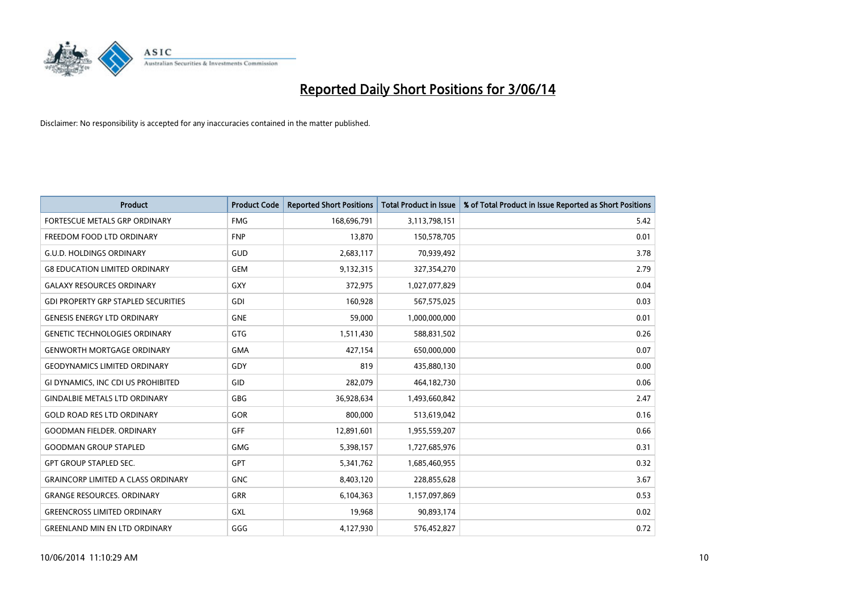

| <b>Product</b>                             | <b>Product Code</b> | <b>Reported Short Positions</b> | <b>Total Product in Issue</b> | % of Total Product in Issue Reported as Short Positions |
|--------------------------------------------|---------------------|---------------------------------|-------------------------------|---------------------------------------------------------|
| FORTESCUE METALS GRP ORDINARY              | <b>FMG</b>          | 168,696,791                     | 3,113,798,151                 | 5.42                                                    |
| FREEDOM FOOD LTD ORDINARY                  | <b>FNP</b>          | 13,870                          | 150,578,705                   | 0.01                                                    |
| <b>G.U.D. HOLDINGS ORDINARY</b>            | <b>GUD</b>          | 2,683,117                       | 70,939,492                    | 3.78                                                    |
| <b>G8 EDUCATION LIMITED ORDINARY</b>       | <b>GEM</b>          | 9,132,315                       | 327,354,270                   | 2.79                                                    |
| <b>GALAXY RESOURCES ORDINARY</b>           | <b>GXY</b>          | 372,975                         | 1,027,077,829                 | 0.04                                                    |
| <b>GDI PROPERTY GRP STAPLED SECURITIES</b> | <b>GDI</b>          | 160,928                         | 567,575,025                   | 0.03                                                    |
| <b>GENESIS ENERGY LTD ORDINARY</b>         | <b>GNE</b>          | 59,000                          | 1,000,000,000                 | 0.01                                                    |
| <b>GENETIC TECHNOLOGIES ORDINARY</b>       | <b>GTG</b>          | 1,511,430                       | 588,831,502                   | 0.26                                                    |
| <b>GENWORTH MORTGAGE ORDINARY</b>          | <b>GMA</b>          | 427,154                         | 650,000,000                   | 0.07                                                    |
| <b>GEODYNAMICS LIMITED ORDINARY</b>        | GDY                 | 819                             | 435,880,130                   | 0.00                                                    |
| GI DYNAMICS, INC CDI US PROHIBITED         | GID                 | 282,079                         | 464,182,730                   | 0.06                                                    |
| <b>GINDALBIE METALS LTD ORDINARY</b>       | <b>GBG</b>          | 36,928,634                      | 1,493,660,842                 | 2.47                                                    |
| <b>GOLD ROAD RES LTD ORDINARY</b>          | GOR                 | 800,000                         | 513,619,042                   | 0.16                                                    |
| <b>GOODMAN FIELDER, ORDINARY</b>           | GFF                 | 12,891,601                      | 1,955,559,207                 | 0.66                                                    |
| <b>GOODMAN GROUP STAPLED</b>               | <b>GMG</b>          | 5,398,157                       | 1,727,685,976                 | 0.31                                                    |
| <b>GPT GROUP STAPLED SEC.</b>              | GPT                 | 5,341,762                       | 1,685,460,955                 | 0.32                                                    |
| <b>GRAINCORP LIMITED A CLASS ORDINARY</b>  | <b>GNC</b>          | 8,403,120                       | 228,855,628                   | 3.67                                                    |
| <b>GRANGE RESOURCES. ORDINARY</b>          | <b>GRR</b>          | 6,104,363                       | 1,157,097,869                 | 0.53                                                    |
| <b>GREENCROSS LIMITED ORDINARY</b>         | <b>GXL</b>          | 19,968                          | 90,893,174                    | 0.02                                                    |
| <b>GREENLAND MIN EN LTD ORDINARY</b>       | GGG                 | 4,127,930                       | 576,452,827                   | 0.72                                                    |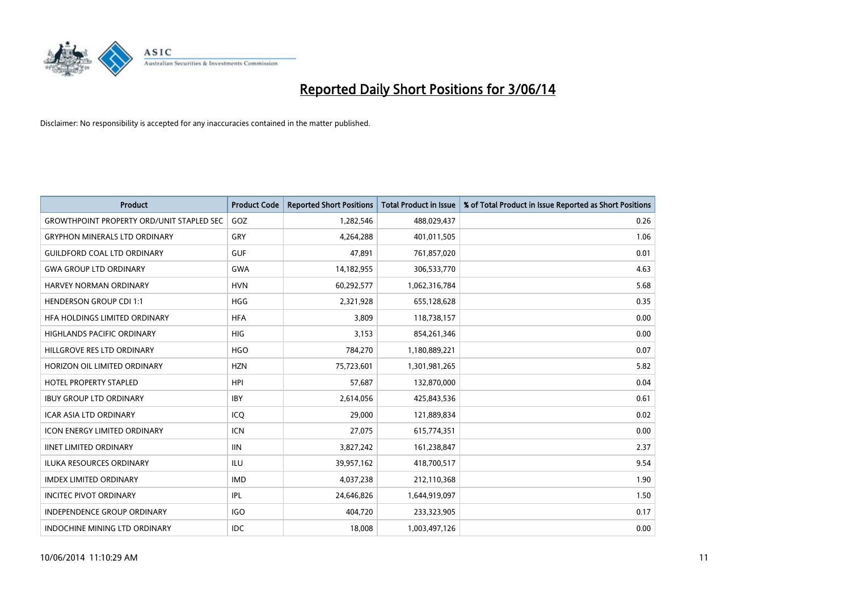

| <b>Product</b>                                   | <b>Product Code</b> | <b>Reported Short Positions</b> | <b>Total Product in Issue</b> | % of Total Product in Issue Reported as Short Positions |
|--------------------------------------------------|---------------------|---------------------------------|-------------------------------|---------------------------------------------------------|
| <b>GROWTHPOINT PROPERTY ORD/UNIT STAPLED SEC</b> | GOZ                 | 1,282,546                       | 488,029,437                   | 0.26                                                    |
| <b>GRYPHON MINERALS LTD ORDINARY</b>             | GRY                 | 4,264,288                       | 401,011,505                   | 1.06                                                    |
| <b>GUILDFORD COAL LTD ORDINARY</b>               | <b>GUF</b>          | 47,891                          | 761,857,020                   | 0.01                                                    |
| <b>GWA GROUP LTD ORDINARY</b>                    | <b>GWA</b>          | 14,182,955                      | 306,533,770                   | 4.63                                                    |
| HARVEY NORMAN ORDINARY                           | <b>HVN</b>          | 60,292,577                      | 1,062,316,784                 | 5.68                                                    |
| <b>HENDERSON GROUP CDI 1:1</b>                   | <b>HGG</b>          | 2,321,928                       | 655,128,628                   | 0.35                                                    |
| HFA HOLDINGS LIMITED ORDINARY                    | <b>HFA</b>          | 3,809                           | 118,738,157                   | 0.00                                                    |
| <b>HIGHLANDS PACIFIC ORDINARY</b>                | <b>HIG</b>          | 3,153                           | 854,261,346                   | 0.00                                                    |
| HILLGROVE RES LTD ORDINARY                       | <b>HGO</b>          | 784,270                         | 1,180,889,221                 | 0.07                                                    |
| HORIZON OIL LIMITED ORDINARY                     | <b>HZN</b>          | 75,723,601                      | 1,301,981,265                 | 5.82                                                    |
| <b>HOTEL PROPERTY STAPLED</b>                    | <b>HPI</b>          | 57,687                          | 132,870,000                   | 0.04                                                    |
| <b>IBUY GROUP LTD ORDINARY</b>                   | <b>IBY</b>          | 2,614,056                       | 425,843,536                   | 0.61                                                    |
| <b>ICAR ASIA LTD ORDINARY</b>                    | ICQ                 | 29,000                          | 121,889,834                   | 0.02                                                    |
| <b>ICON ENERGY LIMITED ORDINARY</b>              | <b>ICN</b>          | 27,075                          | 615,774,351                   | 0.00                                                    |
| <b>IINET LIMITED ORDINARY</b>                    | <b>IIN</b>          | 3,827,242                       | 161,238,847                   | 2.37                                                    |
| <b>ILUKA RESOURCES ORDINARY</b>                  | <b>ILU</b>          | 39,957,162                      | 418,700,517                   | 9.54                                                    |
| <b>IMDEX LIMITED ORDINARY</b>                    | <b>IMD</b>          | 4,037,238                       | 212,110,368                   | 1.90                                                    |
| <b>INCITEC PIVOT ORDINARY</b>                    | IPL                 | 24,646,826                      | 1,644,919,097                 | 1.50                                                    |
| <b>INDEPENDENCE GROUP ORDINARY</b>               | <b>IGO</b>          | 404,720                         | 233,323,905                   | 0.17                                                    |
| INDOCHINE MINING LTD ORDINARY                    | <b>IDC</b>          | 18,008                          | 1,003,497,126                 | 0.00                                                    |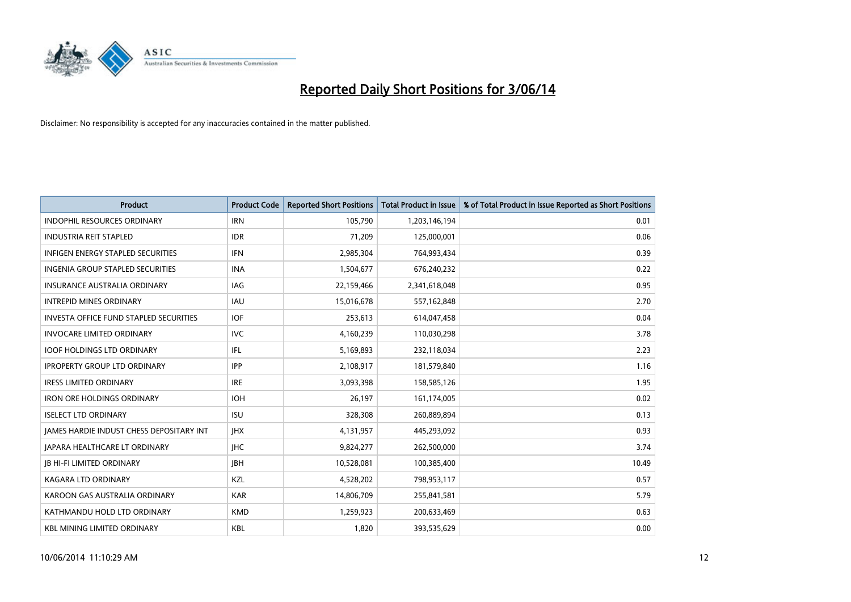

| <b>Product</b>                                  | <b>Product Code</b> | <b>Reported Short Positions</b> | <b>Total Product in Issue</b> | % of Total Product in Issue Reported as Short Positions |
|-------------------------------------------------|---------------------|---------------------------------|-------------------------------|---------------------------------------------------------|
| <b>INDOPHIL RESOURCES ORDINARY</b>              | <b>IRN</b>          | 105,790                         | 1,203,146,194                 | 0.01                                                    |
| <b>INDUSTRIA REIT STAPLED</b>                   | <b>IDR</b>          | 71,209                          | 125,000,001                   | 0.06                                                    |
| <b>INFIGEN ENERGY STAPLED SECURITIES</b>        | <b>IFN</b>          | 2,985,304                       | 764,993,434                   | 0.39                                                    |
| INGENIA GROUP STAPLED SECURITIES                | <b>INA</b>          | 1,504,677                       | 676,240,232                   | 0.22                                                    |
| <b>INSURANCE AUSTRALIA ORDINARY</b>             | IAG                 | 22,159,466                      | 2,341,618,048                 | 0.95                                                    |
| <b>INTREPID MINES ORDINARY</b>                  | <b>IAU</b>          | 15,016,678                      | 557,162,848                   | 2.70                                                    |
| <b>INVESTA OFFICE FUND STAPLED SECURITIES</b>   | <b>IOF</b>          | 253,613                         | 614,047,458                   | 0.04                                                    |
| <b>INVOCARE LIMITED ORDINARY</b>                | <b>IVC</b>          | 4,160,239                       | 110,030,298                   | 3.78                                                    |
| <b>IOOF HOLDINGS LTD ORDINARY</b>               | IFL                 | 5,169,893                       | 232,118,034                   | 2.23                                                    |
| <b>IPROPERTY GROUP LTD ORDINARY</b>             | <b>IPP</b>          | 2,108,917                       | 181,579,840                   | 1.16                                                    |
| <b>IRESS LIMITED ORDINARY</b>                   | <b>IRE</b>          | 3,093,398                       | 158,585,126                   | 1.95                                                    |
| <b>IRON ORE HOLDINGS ORDINARY</b>               | <b>IOH</b>          | 26,197                          | 161,174,005                   | 0.02                                                    |
| <b>ISELECT LTD ORDINARY</b>                     | <b>ISU</b>          | 328,308                         | 260,889,894                   | 0.13                                                    |
| <b>IAMES HARDIE INDUST CHESS DEPOSITARY INT</b> | <b>IHX</b>          | 4,131,957                       | 445,293,092                   | 0.93                                                    |
| <b>JAPARA HEALTHCARE LT ORDINARY</b>            | <b>IHC</b>          | 9,824,277                       | 262,500,000                   | 3.74                                                    |
| <b>JB HI-FI LIMITED ORDINARY</b>                | <b>IBH</b>          | 10,528,081                      | 100,385,400                   | 10.49                                                   |
| <b>KAGARA LTD ORDINARY</b>                      | KZL                 | 4,528,202                       | 798,953,117                   | 0.57                                                    |
| KAROON GAS AUSTRALIA ORDINARY                   | <b>KAR</b>          | 14,806,709                      | 255,841,581                   | 5.79                                                    |
| KATHMANDU HOLD LTD ORDINARY                     | <b>KMD</b>          | 1,259,923                       | 200,633,469                   | 0.63                                                    |
| <b>KBL MINING LIMITED ORDINARY</b>              | <b>KBL</b>          | 1,820                           | 393,535,629                   | 0.00                                                    |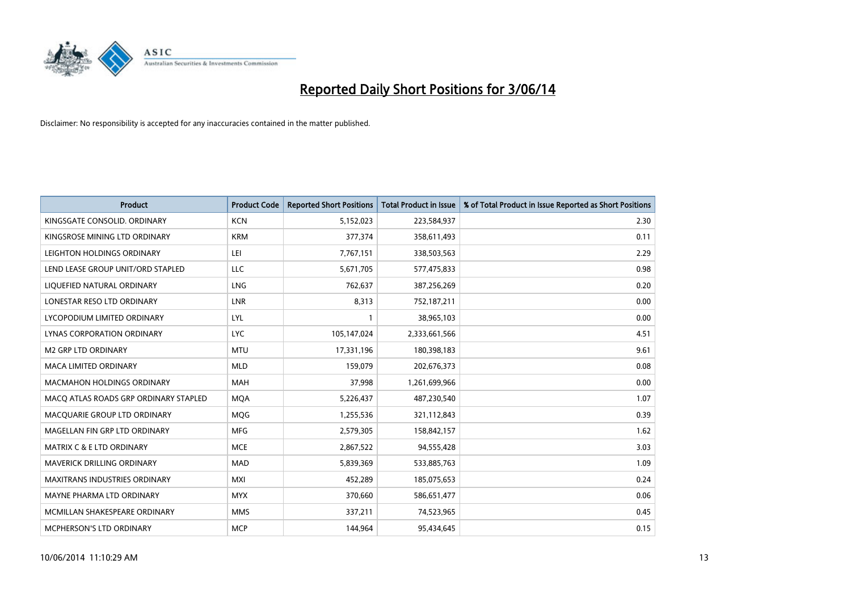

| <b>Product</b>                        | <b>Product Code</b> | <b>Reported Short Positions</b> | <b>Total Product in Issue</b> | % of Total Product in Issue Reported as Short Positions |
|---------------------------------------|---------------------|---------------------------------|-------------------------------|---------------------------------------------------------|
| KINGSGATE CONSOLID. ORDINARY          | <b>KCN</b>          | 5,152,023                       | 223,584,937                   | 2.30                                                    |
| KINGSROSE MINING LTD ORDINARY         | <b>KRM</b>          | 377,374                         | 358,611,493                   | 0.11                                                    |
| LEIGHTON HOLDINGS ORDINARY            | LEI                 | 7,767,151                       | 338,503,563                   | 2.29                                                    |
| LEND LEASE GROUP UNIT/ORD STAPLED     | LLC                 | 5,671,705                       | 577,475,833                   | 0.98                                                    |
| LIQUEFIED NATURAL ORDINARY            | LNG                 | 762,637                         | 387,256,269                   | 0.20                                                    |
| LONESTAR RESO LTD ORDINARY            | <b>LNR</b>          | 8,313                           | 752,187,211                   | 0.00                                                    |
| LYCOPODIUM LIMITED ORDINARY           | <b>LYL</b>          |                                 | 38,965,103                    | 0.00                                                    |
| LYNAS CORPORATION ORDINARY            | <b>LYC</b>          | 105,147,024                     | 2,333,661,566                 | 4.51                                                    |
| <b>M2 GRP LTD ORDINARY</b>            | <b>MTU</b>          | 17,331,196                      | 180,398,183                   | 9.61                                                    |
| <b>MACA LIMITED ORDINARY</b>          | <b>MLD</b>          | 159,079                         | 202,676,373                   | 0.08                                                    |
| MACMAHON HOLDINGS ORDINARY            | MAH                 | 37,998                          | 1,261,699,966                 | 0.00                                                    |
| MACO ATLAS ROADS GRP ORDINARY STAPLED | <b>MQA</b>          | 5,226,437                       | 487,230,540                   | 1.07                                                    |
| MACQUARIE GROUP LTD ORDINARY          | <b>MOG</b>          | 1,255,536                       | 321,112,843                   | 0.39                                                    |
| MAGELLAN FIN GRP LTD ORDINARY         | <b>MFG</b>          | 2,579,305                       | 158,842,157                   | 1.62                                                    |
| <b>MATRIX C &amp; E LTD ORDINARY</b>  | <b>MCE</b>          | 2,867,522                       | 94,555,428                    | 3.03                                                    |
| MAVERICK DRILLING ORDINARY            | <b>MAD</b>          | 5,839,369                       | 533,885,763                   | 1.09                                                    |
| MAXITRANS INDUSTRIES ORDINARY         | <b>MXI</b>          | 452,289                         | 185,075,653                   | 0.24                                                    |
| MAYNE PHARMA LTD ORDINARY             | <b>MYX</b>          | 370,660                         | 586,651,477                   | 0.06                                                    |
| MCMILLAN SHAKESPEARE ORDINARY         | <b>MMS</b>          | 337,211                         | 74,523,965                    | 0.45                                                    |
| MCPHERSON'S LTD ORDINARY              | <b>MCP</b>          | 144,964                         | 95,434,645                    | 0.15                                                    |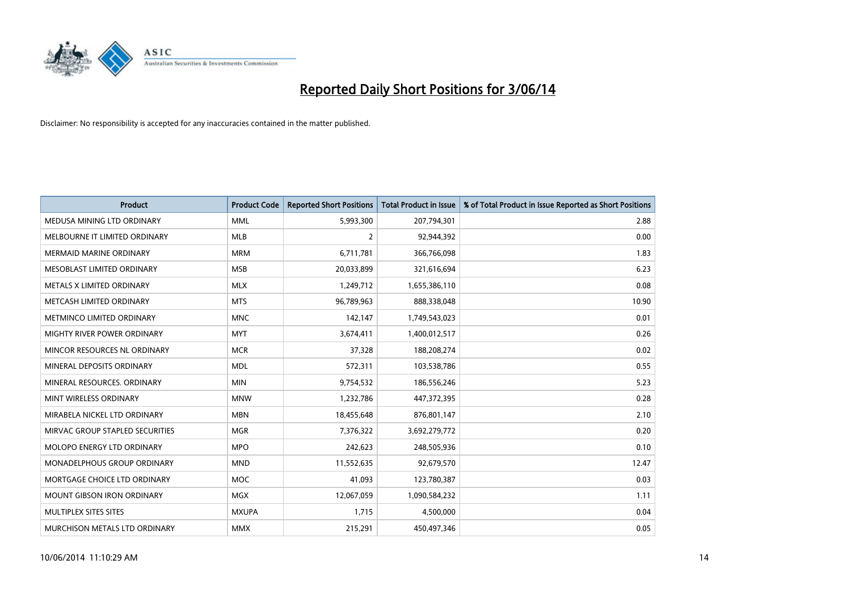

| <b>Product</b>                    | <b>Product Code</b> | <b>Reported Short Positions</b> | <b>Total Product in Issue</b> | % of Total Product in Issue Reported as Short Positions |
|-----------------------------------|---------------------|---------------------------------|-------------------------------|---------------------------------------------------------|
| MEDUSA MINING LTD ORDINARY        | <b>MML</b>          | 5,993,300                       | 207,794,301                   | 2.88                                                    |
| MELBOURNE IT LIMITED ORDINARY     | <b>MLB</b>          | $\overline{2}$                  | 92,944,392                    | 0.00                                                    |
| MERMAID MARINE ORDINARY           | <b>MRM</b>          | 6,711,781                       | 366,766,098                   | 1.83                                                    |
| MESOBLAST LIMITED ORDINARY        | <b>MSB</b>          | 20,033,899                      | 321,616,694                   | 6.23                                                    |
| METALS X LIMITED ORDINARY         | <b>MLX</b>          | 1,249,712                       | 1,655,386,110                 | 0.08                                                    |
| METCASH LIMITED ORDINARY          | <b>MTS</b>          | 96,789,963                      | 888,338,048                   | 10.90                                                   |
| METMINCO LIMITED ORDINARY         | <b>MNC</b>          | 142,147                         | 1,749,543,023                 | 0.01                                                    |
| MIGHTY RIVER POWER ORDINARY       | <b>MYT</b>          | 3,674,411                       | 1,400,012,517                 | 0.26                                                    |
| MINCOR RESOURCES NL ORDINARY      | <b>MCR</b>          | 37,328                          | 188,208,274                   | 0.02                                                    |
| MINERAL DEPOSITS ORDINARY         | <b>MDL</b>          | 572,311                         | 103,538,786                   | 0.55                                                    |
| MINERAL RESOURCES. ORDINARY       | <b>MIN</b>          | 9,754,532                       | 186,556,246                   | 5.23                                                    |
| MINT WIRELESS ORDINARY            | <b>MNW</b>          | 1,232,786                       | 447,372,395                   | 0.28                                                    |
| MIRABELA NICKEL LTD ORDINARY      | <b>MBN</b>          | 18,455,648                      | 876,801,147                   | 2.10                                                    |
| MIRVAC GROUP STAPLED SECURITIES   | <b>MGR</b>          | 7,376,322                       | 3,692,279,772                 | 0.20                                                    |
| MOLOPO ENERGY LTD ORDINARY        | <b>MPO</b>          | 242,623                         | 248,505,936                   | 0.10                                                    |
| MONADELPHOUS GROUP ORDINARY       | <b>MND</b>          | 11,552,635                      | 92,679,570                    | 12.47                                                   |
| MORTGAGE CHOICE LTD ORDINARY      | <b>MOC</b>          | 41,093                          | 123,780,387                   | 0.03                                                    |
| <b>MOUNT GIBSON IRON ORDINARY</b> | <b>MGX</b>          | 12,067,059                      | 1,090,584,232                 | 1.11                                                    |
| MULTIPLEX SITES SITES             | <b>MXUPA</b>        | 1,715                           | 4,500,000                     | 0.04                                                    |
| MURCHISON METALS LTD ORDINARY     | <b>MMX</b>          | 215,291                         | 450,497,346                   | 0.05                                                    |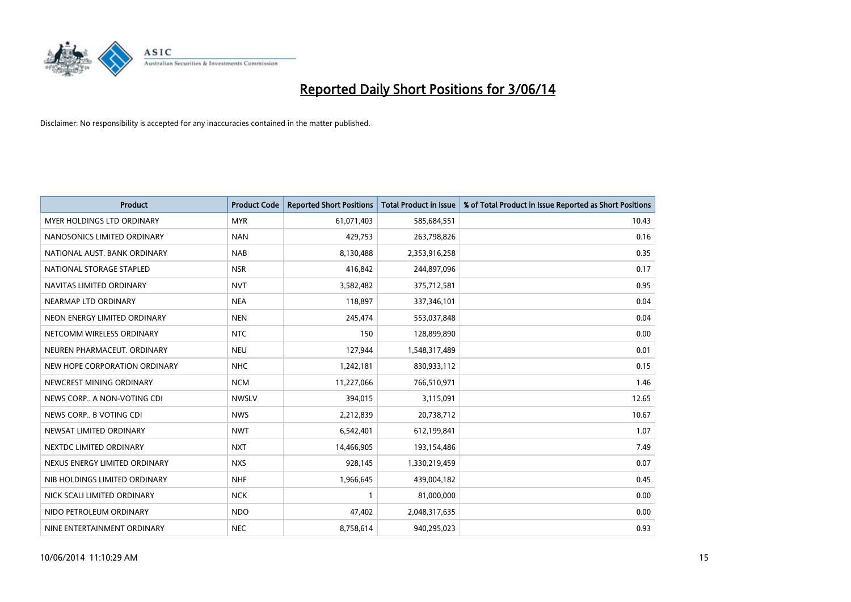

| Product                           | <b>Product Code</b> | <b>Reported Short Positions</b> | <b>Total Product in Issue</b> | % of Total Product in Issue Reported as Short Positions |
|-----------------------------------|---------------------|---------------------------------|-------------------------------|---------------------------------------------------------|
| <b>MYER HOLDINGS LTD ORDINARY</b> | <b>MYR</b>          | 61,071,403                      | 585,684,551                   | 10.43                                                   |
| NANOSONICS LIMITED ORDINARY       | <b>NAN</b>          | 429,753                         | 263,798,826                   | 0.16                                                    |
| NATIONAL AUST, BANK ORDINARY      | <b>NAB</b>          | 8,130,488                       | 2,353,916,258                 | 0.35                                                    |
| NATIONAL STORAGE STAPLED          | <b>NSR</b>          | 416,842                         | 244,897,096                   | 0.17                                                    |
| NAVITAS LIMITED ORDINARY          | <b>NVT</b>          | 3,582,482                       | 375,712,581                   | 0.95                                                    |
| NEARMAP LTD ORDINARY              | <b>NEA</b>          | 118,897                         | 337,346,101                   | 0.04                                                    |
| NEON ENERGY LIMITED ORDINARY      | <b>NEN</b>          | 245,474                         | 553,037,848                   | 0.04                                                    |
| NETCOMM WIRELESS ORDINARY         | <b>NTC</b>          | 150                             | 128,899,890                   | 0.00                                                    |
| NEUREN PHARMACEUT, ORDINARY       | <b>NEU</b>          | 127,944                         | 1,548,317,489                 | 0.01                                                    |
| NEW HOPE CORPORATION ORDINARY     | <b>NHC</b>          | 1,242,181                       | 830,933,112                   | 0.15                                                    |
| NEWCREST MINING ORDINARY          | <b>NCM</b>          | 11,227,066                      | 766,510,971                   | 1.46                                                    |
| NEWS CORP A NON-VOTING CDI        | <b>NWSLV</b>        | 394,015                         | 3,115,091                     | 12.65                                                   |
| NEWS CORP B VOTING CDI            | <b>NWS</b>          | 2,212,839                       | 20,738,712                    | 10.67                                                   |
| NEWSAT LIMITED ORDINARY           | <b>NWT</b>          | 6,542,401                       | 612,199,841                   | 1.07                                                    |
| NEXTDC LIMITED ORDINARY           | <b>NXT</b>          | 14,466,905                      | 193,154,486                   | 7.49                                                    |
| NEXUS ENERGY LIMITED ORDINARY     | <b>NXS</b>          | 928,145                         | 1,330,219,459                 | 0.07                                                    |
| NIB HOLDINGS LIMITED ORDINARY     | <b>NHF</b>          | 1,966,645                       | 439,004,182                   | 0.45                                                    |
| NICK SCALI LIMITED ORDINARY       | <b>NCK</b>          | 1                               | 81,000,000                    | 0.00                                                    |
| NIDO PETROLEUM ORDINARY           | <b>NDO</b>          | 47,402                          | 2,048,317,635                 | 0.00                                                    |
| NINE ENTERTAINMENT ORDINARY       | <b>NEC</b>          | 8,758,614                       | 940,295,023                   | 0.93                                                    |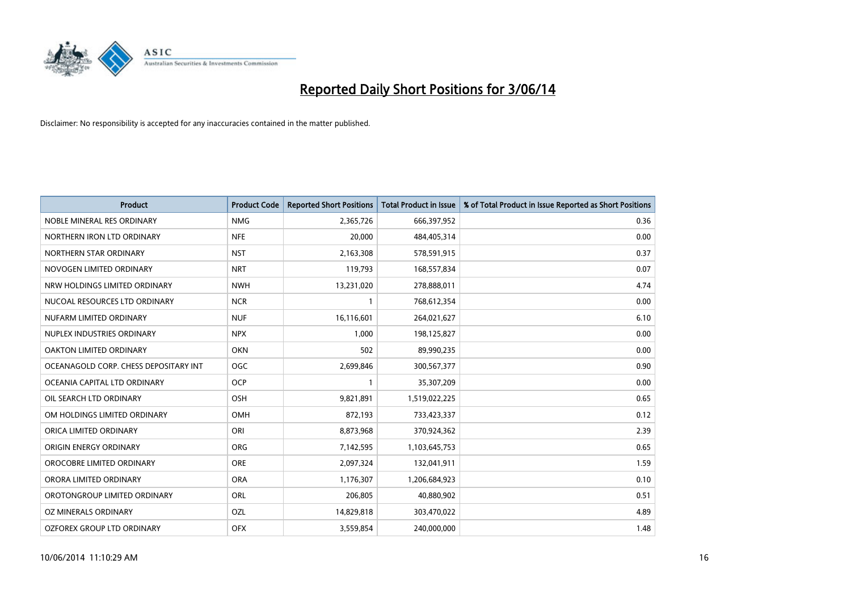

| <b>Product</b>                        | <b>Product Code</b> | <b>Reported Short Positions</b> | <b>Total Product in Issue</b> | % of Total Product in Issue Reported as Short Positions |
|---------------------------------------|---------------------|---------------------------------|-------------------------------|---------------------------------------------------------|
| NOBLE MINERAL RES ORDINARY            | <b>NMG</b>          | 2,365,726                       | 666,397,952                   | 0.36                                                    |
| NORTHERN IRON LTD ORDINARY            | <b>NFE</b>          | 20,000                          | 484,405,314                   | 0.00                                                    |
| NORTHERN STAR ORDINARY                | <b>NST</b>          | 2,163,308                       | 578,591,915                   | 0.37                                                    |
| NOVOGEN LIMITED ORDINARY              | <b>NRT</b>          | 119,793                         | 168,557,834                   | 0.07                                                    |
| NRW HOLDINGS LIMITED ORDINARY         | <b>NWH</b>          | 13,231,020                      | 278,888,011                   | 4.74                                                    |
| NUCOAL RESOURCES LTD ORDINARY         | <b>NCR</b>          | 1                               | 768,612,354                   | 0.00                                                    |
| NUFARM LIMITED ORDINARY               | <b>NUF</b>          | 16,116,601                      | 264,021,627                   | 6.10                                                    |
| NUPLEX INDUSTRIES ORDINARY            | <b>NPX</b>          | 1,000                           | 198,125,827                   | 0.00                                                    |
| <b>OAKTON LIMITED ORDINARY</b>        | <b>OKN</b>          | 502                             | 89,990,235                    | 0.00                                                    |
| OCEANAGOLD CORP. CHESS DEPOSITARY INT | <b>OGC</b>          | 2,699,846                       | 300,567,377                   | 0.90                                                    |
| OCEANIA CAPITAL LTD ORDINARY          | <b>OCP</b>          | 1                               | 35,307,209                    | 0.00                                                    |
| OIL SEARCH LTD ORDINARY               | OSH                 | 9,821,891                       | 1,519,022,225                 | 0.65                                                    |
| OM HOLDINGS LIMITED ORDINARY          | OMH                 | 872,193                         | 733,423,337                   | 0.12                                                    |
| ORICA LIMITED ORDINARY                | ORI                 | 8,873,968                       | 370,924,362                   | 2.39                                                    |
| ORIGIN ENERGY ORDINARY                | <b>ORG</b>          | 7,142,595                       | 1,103,645,753                 | 0.65                                                    |
| OROCOBRE LIMITED ORDINARY             | <b>ORE</b>          | 2,097,324                       | 132,041,911                   | 1.59                                                    |
| ORORA LIMITED ORDINARY                | <b>ORA</b>          | 1,176,307                       | 1,206,684,923                 | 0.10                                                    |
| OROTONGROUP LIMITED ORDINARY          | <b>ORL</b>          | 206,805                         | 40,880,902                    | 0.51                                                    |
| OZ MINERALS ORDINARY                  | OZL                 | 14,829,818                      | 303,470,022                   | 4.89                                                    |
| OZFOREX GROUP LTD ORDINARY            | <b>OFX</b>          | 3,559,854                       | 240,000,000                   | 1.48                                                    |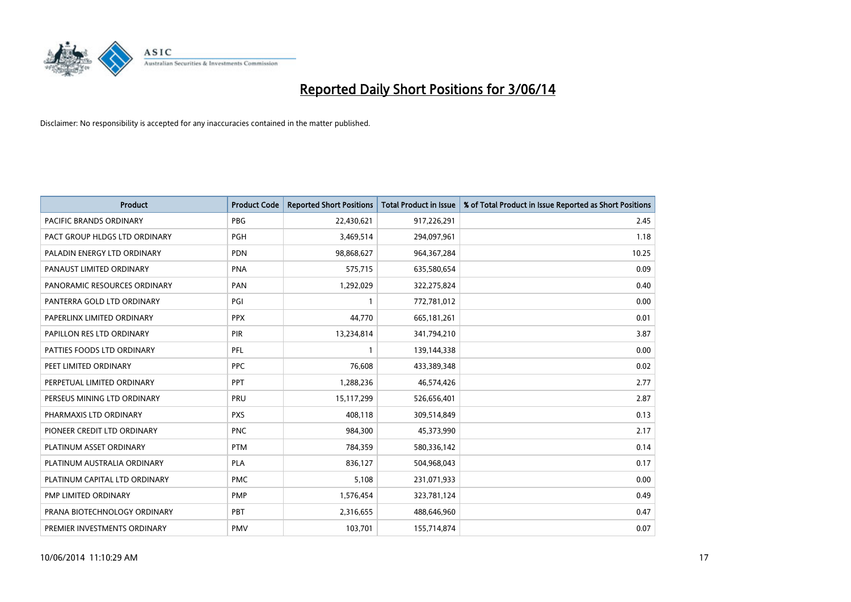

| Product                        | <b>Product Code</b> | <b>Reported Short Positions</b> | <b>Total Product in Issue</b> | % of Total Product in Issue Reported as Short Positions |
|--------------------------------|---------------------|---------------------------------|-------------------------------|---------------------------------------------------------|
| <b>PACIFIC BRANDS ORDINARY</b> | <b>PBG</b>          | 22,430,621                      | 917,226,291                   | 2.45                                                    |
| PACT GROUP HLDGS LTD ORDINARY  | <b>PGH</b>          | 3,469,514                       | 294,097,961                   | 1.18                                                    |
| PALADIN ENERGY LTD ORDINARY    | <b>PDN</b>          | 98,868,627                      | 964, 367, 284                 | 10.25                                                   |
| PANAUST LIMITED ORDINARY       | <b>PNA</b>          | 575,715                         | 635,580,654                   | 0.09                                                    |
| PANORAMIC RESOURCES ORDINARY   | PAN                 | 1,292,029                       | 322,275,824                   | 0.40                                                    |
| PANTERRA GOLD LTD ORDINARY     | PGI                 | $\mathbf{1}$                    | 772,781,012                   | 0.00                                                    |
| PAPERLINX LIMITED ORDINARY     | <b>PPX</b>          | 44,770                          | 665,181,261                   | 0.01                                                    |
| PAPILLON RES LTD ORDINARY      | <b>PIR</b>          | 13,234,814                      | 341,794,210                   | 3.87                                                    |
| PATTIES FOODS LTD ORDINARY     | PFL                 | 1                               | 139,144,338                   | 0.00                                                    |
| PEET LIMITED ORDINARY          | <b>PPC</b>          | 76,608                          | 433,389,348                   | 0.02                                                    |
| PERPETUAL LIMITED ORDINARY     | PPT                 | 1,288,236                       | 46,574,426                    | 2.77                                                    |
| PERSEUS MINING LTD ORDINARY    | PRU                 | 15,117,299                      | 526,656,401                   | 2.87                                                    |
| PHARMAXIS LTD ORDINARY         | <b>PXS</b>          | 408,118                         | 309,514,849                   | 0.13                                                    |
| PIONEER CREDIT LTD ORDINARY    | <b>PNC</b>          | 984,300                         | 45,373,990                    | 2.17                                                    |
| PLATINUM ASSET ORDINARY        | <b>PTM</b>          | 784,359                         | 580,336,142                   | 0.14                                                    |
| PLATINUM AUSTRALIA ORDINARY    | PLA                 | 836,127                         | 504,968,043                   | 0.17                                                    |
| PLATINUM CAPITAL LTD ORDINARY  | <b>PMC</b>          | 5,108                           | 231,071,933                   | 0.00                                                    |
| PMP LIMITED ORDINARY           | <b>PMP</b>          | 1,576,454                       | 323,781,124                   | 0.49                                                    |
| PRANA BIOTECHNOLOGY ORDINARY   | PBT                 | 2,316,655                       | 488,646,960                   | 0.47                                                    |
| PREMIER INVESTMENTS ORDINARY   | <b>PMV</b>          | 103,701                         | 155,714,874                   | 0.07                                                    |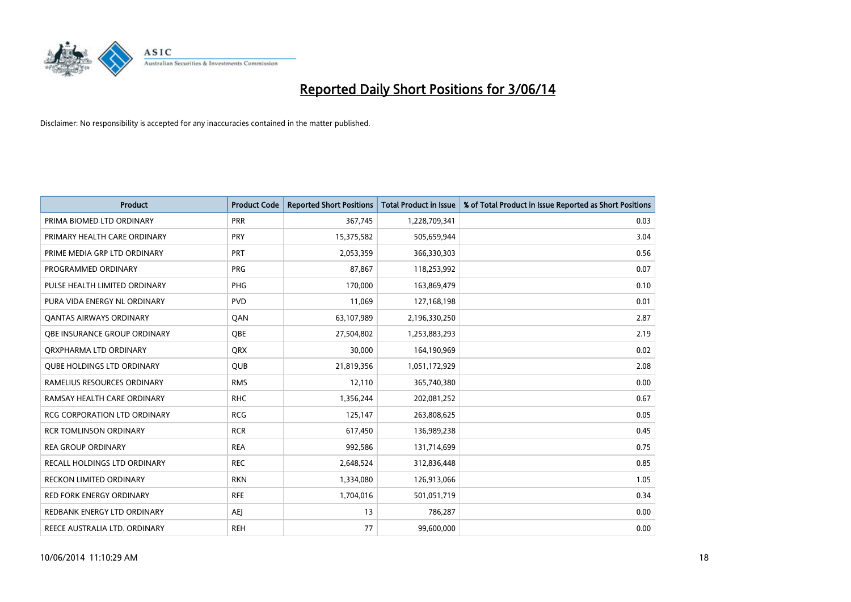

| <b>Product</b>                      | <b>Product Code</b> | <b>Reported Short Positions</b> | <b>Total Product in Issue</b> | % of Total Product in Issue Reported as Short Positions |
|-------------------------------------|---------------------|---------------------------------|-------------------------------|---------------------------------------------------------|
| PRIMA BIOMED LTD ORDINARY           | <b>PRR</b>          | 367,745                         | 1,228,709,341                 | 0.03                                                    |
| PRIMARY HEALTH CARE ORDINARY        | <b>PRY</b>          | 15,375,582                      | 505,659,944                   | 3.04                                                    |
| PRIME MEDIA GRP LTD ORDINARY        | <b>PRT</b>          | 2,053,359                       | 366,330,303                   | 0.56                                                    |
| PROGRAMMED ORDINARY                 | <b>PRG</b>          | 87,867                          | 118,253,992                   | 0.07                                                    |
| PULSE HEALTH LIMITED ORDINARY       | PHG                 | 170,000                         | 163,869,479                   | 0.10                                                    |
| PURA VIDA ENERGY NL ORDINARY        | <b>PVD</b>          | 11,069                          | 127,168,198                   | 0.01                                                    |
| <b>QANTAS AIRWAYS ORDINARY</b>      | QAN                 | 63,107,989                      | 2,196,330,250                 | 2.87                                                    |
| <b>OBE INSURANCE GROUP ORDINARY</b> | <b>OBE</b>          | 27,504,802                      | 1,253,883,293                 | 2.19                                                    |
| ORXPHARMA LTD ORDINARY              | <b>QRX</b>          | 30,000                          | 164,190,969                   | 0.02                                                    |
| <b>QUBE HOLDINGS LTD ORDINARY</b>   | <b>QUB</b>          | 21,819,356                      | 1,051,172,929                 | 2.08                                                    |
| RAMELIUS RESOURCES ORDINARY         | <b>RMS</b>          | 12,110                          | 365,740,380                   | 0.00                                                    |
| RAMSAY HEALTH CARE ORDINARY         | <b>RHC</b>          | 1,356,244                       | 202,081,252                   | 0.67                                                    |
| RCG CORPORATION LTD ORDINARY        | <b>RCG</b>          | 125,147                         | 263,808,625                   | 0.05                                                    |
| <b>RCR TOMLINSON ORDINARY</b>       | <b>RCR</b>          | 617,450                         | 136,989,238                   | 0.45                                                    |
| <b>REA GROUP ORDINARY</b>           | <b>REA</b>          | 992,586                         | 131,714,699                   | 0.75                                                    |
| RECALL HOLDINGS LTD ORDINARY        | <b>REC</b>          | 2,648,524                       | 312,836,448                   | 0.85                                                    |
| RECKON LIMITED ORDINARY             | <b>RKN</b>          | 1,334,080                       | 126,913,066                   | 1.05                                                    |
| <b>RED FORK ENERGY ORDINARY</b>     | <b>RFE</b>          | 1,704,016                       | 501,051,719                   | 0.34                                                    |
| REDBANK ENERGY LTD ORDINARY         | <b>AEI</b>          | 13                              | 786,287                       | 0.00                                                    |
| REECE AUSTRALIA LTD. ORDINARY       | <b>REH</b>          | 77                              | 99,600,000                    | 0.00                                                    |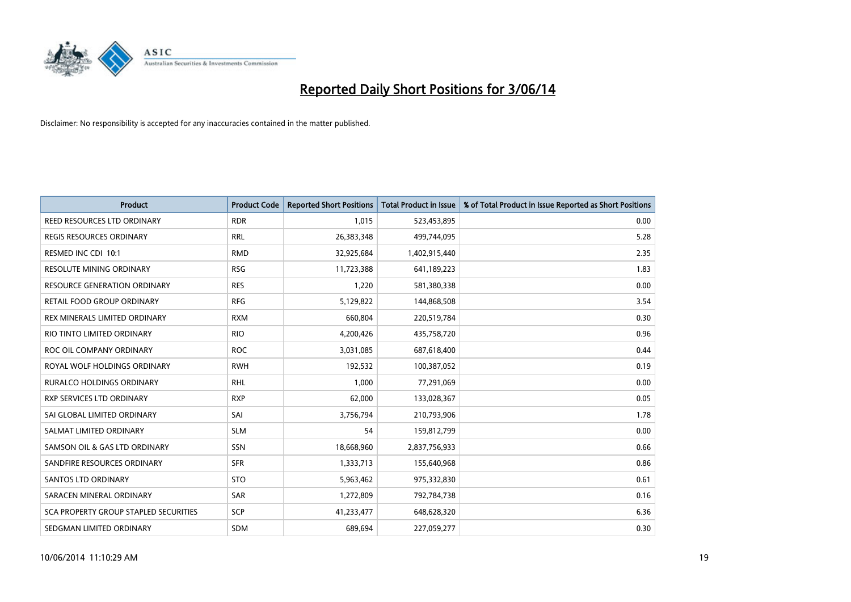

| Product                               | <b>Product Code</b> | <b>Reported Short Positions</b> | <b>Total Product in Issue</b> | % of Total Product in Issue Reported as Short Positions |
|---------------------------------------|---------------------|---------------------------------|-------------------------------|---------------------------------------------------------|
| REED RESOURCES LTD ORDINARY           | <b>RDR</b>          | 1,015                           | 523,453,895                   | 0.00                                                    |
| REGIS RESOURCES ORDINARY              | <b>RRL</b>          | 26,383,348                      | 499,744,095                   | 5.28                                                    |
| RESMED INC CDI 10:1                   | <b>RMD</b>          | 32,925,684                      | 1,402,915,440                 | 2.35                                                    |
| <b>RESOLUTE MINING ORDINARY</b>       | <b>RSG</b>          | 11,723,388                      | 641,189,223                   | 1.83                                                    |
| RESOURCE GENERATION ORDINARY          | <b>RES</b>          | 1,220                           | 581,380,338                   | 0.00                                                    |
| RETAIL FOOD GROUP ORDINARY            | <b>RFG</b>          | 5,129,822                       | 144,868,508                   | 3.54                                                    |
| REX MINERALS LIMITED ORDINARY         | <b>RXM</b>          | 660,804                         | 220,519,784                   | 0.30                                                    |
| RIO TINTO LIMITED ORDINARY            | <b>RIO</b>          | 4,200,426                       | 435,758,720                   | 0.96                                                    |
| ROC OIL COMPANY ORDINARY              | <b>ROC</b>          | 3,031,085                       | 687,618,400                   | 0.44                                                    |
| ROYAL WOLF HOLDINGS ORDINARY          | <b>RWH</b>          | 192,532                         | 100,387,052                   | 0.19                                                    |
| <b>RURALCO HOLDINGS ORDINARY</b>      | <b>RHL</b>          | 1,000                           | 77,291,069                    | 0.00                                                    |
| RXP SERVICES LTD ORDINARY             | <b>RXP</b>          | 62,000                          | 133,028,367                   | 0.05                                                    |
| SAI GLOBAL LIMITED ORDINARY           | SAI                 | 3,756,794                       | 210,793,906                   | 1.78                                                    |
| SALMAT LIMITED ORDINARY               | <b>SLM</b>          | 54                              | 159,812,799                   | 0.00                                                    |
| SAMSON OIL & GAS LTD ORDINARY         | SSN                 | 18,668,960                      | 2,837,756,933                 | 0.66                                                    |
| SANDFIRE RESOURCES ORDINARY           | <b>SFR</b>          | 1,333,713                       | 155,640,968                   | 0.86                                                    |
| SANTOS LTD ORDINARY                   | <b>STO</b>          | 5,963,462                       | 975,332,830                   | 0.61                                                    |
| SARACEN MINERAL ORDINARY              | SAR                 | 1,272,809                       | 792,784,738                   | 0.16                                                    |
| SCA PROPERTY GROUP STAPLED SECURITIES | SCP                 | 41,233,477                      | 648,628,320                   | 6.36                                                    |
| SEDGMAN LIMITED ORDINARY              | <b>SDM</b>          | 689,694                         | 227,059,277                   | 0.30                                                    |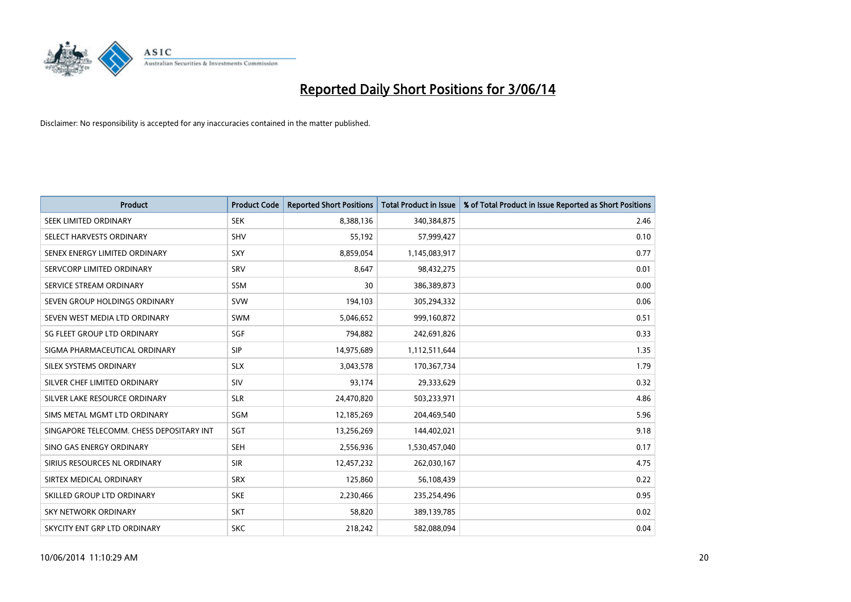

| <b>Product</b>                           | <b>Product Code</b> | <b>Reported Short Positions</b> | <b>Total Product in Issue</b> | % of Total Product in Issue Reported as Short Positions |
|------------------------------------------|---------------------|---------------------------------|-------------------------------|---------------------------------------------------------|
| SEEK LIMITED ORDINARY                    | <b>SEK</b>          | 8,388,136                       | 340,384,875                   | 2.46                                                    |
| SELECT HARVESTS ORDINARY                 | <b>SHV</b>          | 55,192                          | 57,999,427                    | 0.10                                                    |
| SENEX ENERGY LIMITED ORDINARY            | <b>SXY</b>          | 8,859,054                       | 1,145,083,917                 | 0.77                                                    |
| SERVCORP LIMITED ORDINARY                | SRV                 | 8,647                           | 98,432,275                    | 0.01                                                    |
| SERVICE STREAM ORDINARY                  | <b>SSM</b>          | 30                              | 386,389,873                   | 0.00                                                    |
| SEVEN GROUP HOLDINGS ORDINARY            | <b>SVW</b>          | 194,103                         | 305,294,332                   | 0.06                                                    |
| SEVEN WEST MEDIA LTD ORDINARY            | SWM                 | 5,046,652                       | 999,160,872                   | 0.51                                                    |
| SG FLEET GROUP LTD ORDINARY              | SGF                 | 794,882                         | 242,691,826                   | 0.33                                                    |
| SIGMA PHARMACEUTICAL ORDINARY            | <b>SIP</b>          | 14,975,689                      | 1,112,511,644                 | 1.35                                                    |
| SILEX SYSTEMS ORDINARY                   | <b>SLX</b>          | 3,043,578                       | 170,367,734                   | 1.79                                                    |
| SILVER CHEF LIMITED ORDINARY             | SIV                 | 93,174                          | 29,333,629                    | 0.32                                                    |
| SILVER LAKE RESOURCE ORDINARY            | <b>SLR</b>          | 24,470,820                      | 503,233,971                   | 4.86                                                    |
| SIMS METAL MGMT LTD ORDINARY             | SGM                 | 12,185,269                      | 204,469,540                   | 5.96                                                    |
| SINGAPORE TELECOMM. CHESS DEPOSITARY INT | SGT                 | 13,256,269                      | 144,402,021                   | 9.18                                                    |
| SINO GAS ENERGY ORDINARY                 | <b>SEH</b>          | 2,556,936                       | 1,530,457,040                 | 0.17                                                    |
| SIRIUS RESOURCES NL ORDINARY             | <b>SIR</b>          | 12,457,232                      | 262,030,167                   | 4.75                                                    |
| SIRTEX MEDICAL ORDINARY                  | <b>SRX</b>          | 125,860                         | 56,108,439                    | 0.22                                                    |
| SKILLED GROUP LTD ORDINARY               | <b>SKE</b>          | 2,230,466                       | 235,254,496                   | 0.95                                                    |
| <b>SKY NETWORK ORDINARY</b>              | <b>SKT</b>          | 58,820                          | 389,139,785                   | 0.02                                                    |
| SKYCITY ENT GRP LTD ORDINARY             | <b>SKC</b>          | 218,242                         | 582,088,094                   | 0.04                                                    |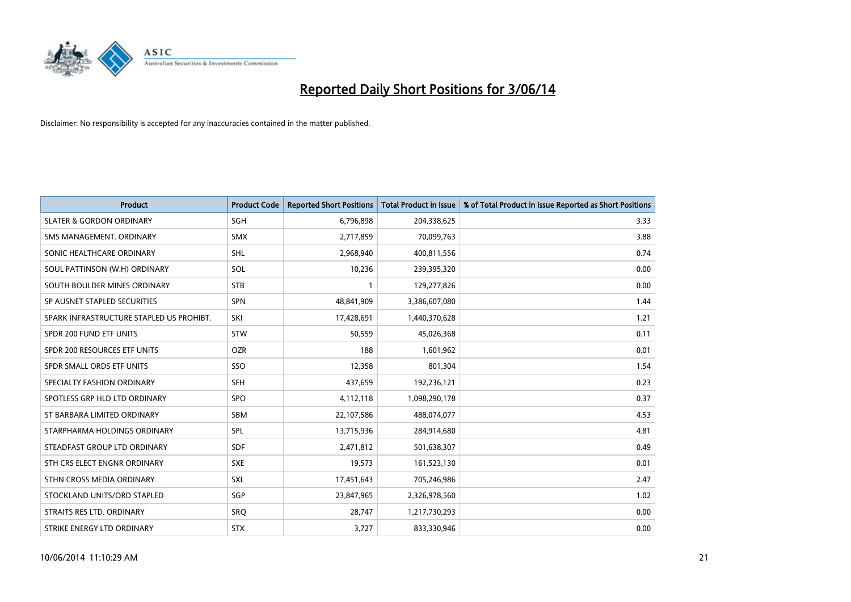

| <b>Product</b>                           | <b>Product Code</b> | <b>Reported Short Positions</b> | <b>Total Product in Issue</b> | % of Total Product in Issue Reported as Short Positions |
|------------------------------------------|---------------------|---------------------------------|-------------------------------|---------------------------------------------------------|
| <b>SLATER &amp; GORDON ORDINARY</b>      | SGH                 | 6,796,898                       | 204,338,625                   | 3.33                                                    |
| SMS MANAGEMENT. ORDINARY                 | <b>SMX</b>          | 2,717,859                       | 70,099,763                    | 3.88                                                    |
| SONIC HEALTHCARE ORDINARY                | SHL                 | 2,968,940                       | 400,811,556                   | 0.74                                                    |
| SOUL PATTINSON (W.H) ORDINARY            | SOL                 | 10,236                          | 239,395,320                   | 0.00                                                    |
| SOUTH BOULDER MINES ORDINARY             | <b>STB</b>          | $\mathbf{1}$                    | 129,277,826                   | 0.00                                                    |
| SP AUSNET STAPLED SECURITIES             | SPN                 | 48,841,909                      | 3,386,607,080                 | 1.44                                                    |
| SPARK INFRASTRUCTURE STAPLED US PROHIBT. | SKI                 | 17,428,691                      | 1,440,370,628                 | 1.21                                                    |
| SPDR 200 FUND ETF UNITS                  | <b>STW</b>          | 50,559                          | 45,026,368                    | 0.11                                                    |
| SPDR 200 RESOURCES ETF UNITS             | <b>OZR</b>          | 188                             | 1,601,962                     | 0.01                                                    |
| SPDR SMALL ORDS ETF UNITS                | SSO                 | 12,358                          | 801,304                       | 1.54                                                    |
| SPECIALTY FASHION ORDINARY               | <b>SFH</b>          | 437,659                         | 192,236,121                   | 0.23                                                    |
| SPOTLESS GRP HLD LTD ORDINARY            | <b>SPO</b>          | 4,112,118                       | 1,098,290,178                 | 0.37                                                    |
| ST BARBARA LIMITED ORDINARY              | <b>SBM</b>          | 22,107,586                      | 488,074,077                   | 4.53                                                    |
| STARPHARMA HOLDINGS ORDINARY             | SPL                 | 13,715,936                      | 284,914,680                   | 4.81                                                    |
| STEADFAST GROUP LTD ORDINARY             | <b>SDF</b>          | 2,471,812                       | 501,638,307                   | 0.49                                                    |
| STH CRS ELECT ENGNR ORDINARY             | <b>SXE</b>          | 19,573                          | 161,523,130                   | 0.01                                                    |
| STHN CROSS MEDIA ORDINARY                | SXL                 | 17,451,643                      | 705,246,986                   | 2.47                                                    |
| STOCKLAND UNITS/ORD STAPLED              | SGP                 | 23,847,965                      | 2,326,978,560                 | 1.02                                                    |
| STRAITS RES LTD. ORDINARY                | <b>SRO</b>          | 28,747                          | 1,217,730,293                 | 0.00                                                    |
| STRIKE ENERGY LTD ORDINARY               | <b>STX</b>          | 3,727                           | 833,330,946                   | 0.00                                                    |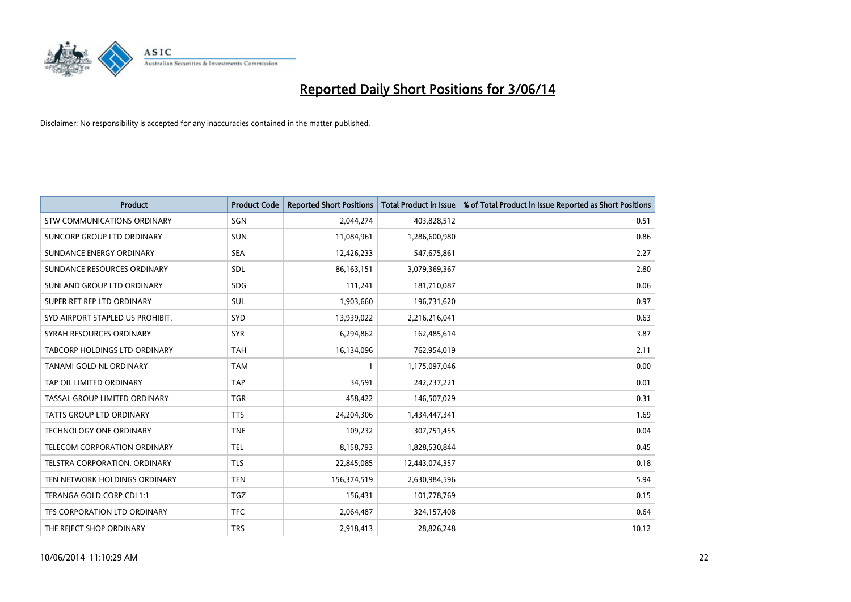

| <b>Product</b>                       | <b>Product Code</b> | <b>Reported Short Positions</b> | <b>Total Product in Issue</b> | % of Total Product in Issue Reported as Short Positions |
|--------------------------------------|---------------------|---------------------------------|-------------------------------|---------------------------------------------------------|
| <b>STW COMMUNICATIONS ORDINARY</b>   | SGN                 | 2,044,274                       | 403,828,512                   | 0.51                                                    |
| SUNCORP GROUP LTD ORDINARY           | <b>SUN</b>          | 11,084,961                      | 1,286,600,980                 | 0.86                                                    |
| SUNDANCE ENERGY ORDINARY             | <b>SEA</b>          | 12,426,233                      | 547,675,861                   | 2.27                                                    |
| SUNDANCE RESOURCES ORDINARY          | SDL                 | 86,163,151                      | 3,079,369,367                 | 2.80                                                    |
| SUNLAND GROUP LTD ORDINARY           | <b>SDG</b>          | 111,241                         | 181,710,087                   | 0.06                                                    |
| SUPER RET REP LTD ORDINARY           | <b>SUL</b>          | 1,903,660                       | 196,731,620                   | 0.97                                                    |
| SYD AIRPORT STAPLED US PROHIBIT.     | <b>SYD</b>          | 13,939,022                      | 2,216,216,041                 | 0.63                                                    |
| SYRAH RESOURCES ORDINARY             | <b>SYR</b>          | 6,294,862                       | 162,485,614                   | 3.87                                                    |
| TABCORP HOLDINGS LTD ORDINARY        | <b>TAH</b>          | 16,134,096                      | 762,954,019                   | 2.11                                                    |
| TANAMI GOLD NL ORDINARY              | <b>TAM</b>          | $\mathbf{1}$                    | 1,175,097,046                 | 0.00                                                    |
| TAP OIL LIMITED ORDINARY             | <b>TAP</b>          | 34,591                          | 242,237,221                   | 0.01                                                    |
| TASSAL GROUP LIMITED ORDINARY        | <b>TGR</b>          | 458,422                         | 146,507,029                   | 0.31                                                    |
| TATTS GROUP LTD ORDINARY             | <b>TTS</b>          | 24,204,306                      | 1,434,447,341                 | 1.69                                                    |
| <b>TECHNOLOGY ONE ORDINARY</b>       | <b>TNE</b>          | 109,232                         | 307,751,455                   | 0.04                                                    |
| TELECOM CORPORATION ORDINARY         | <b>TEL</b>          | 8,158,793                       | 1,828,530,844                 | 0.45                                                    |
| <b>TELSTRA CORPORATION, ORDINARY</b> | <b>TLS</b>          | 22,845,085                      | 12,443,074,357                | 0.18                                                    |
| TEN NETWORK HOLDINGS ORDINARY        | <b>TEN</b>          | 156,374,519                     | 2,630,984,596                 | 5.94                                                    |
| TERANGA GOLD CORP CDI 1:1            | <b>TGZ</b>          | 156,431                         | 101,778,769                   | 0.15                                                    |
| TFS CORPORATION LTD ORDINARY         | <b>TFC</b>          | 2,064,487                       | 324,157,408                   | 0.64                                                    |
| THE REJECT SHOP ORDINARY             | <b>TRS</b>          | 2,918,413                       | 28,826,248                    | 10.12                                                   |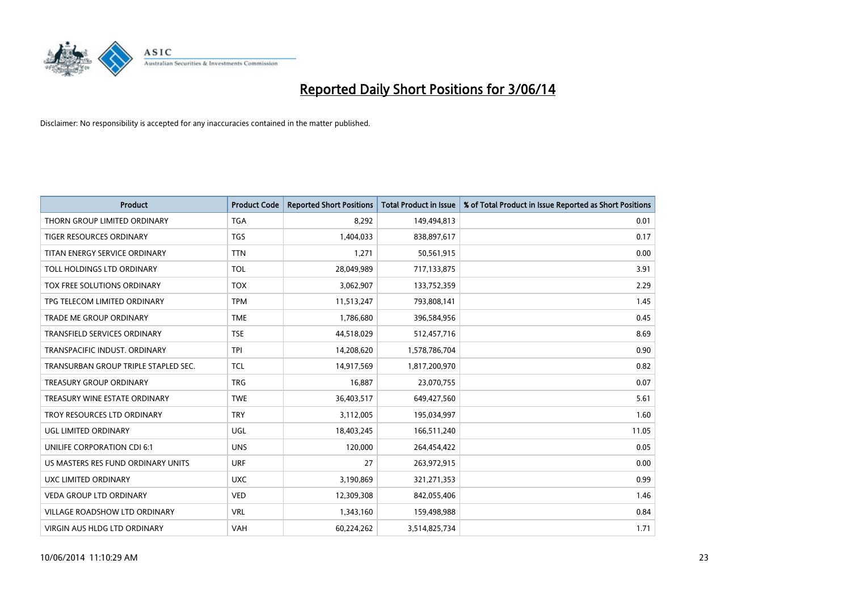

| <b>Product</b>                       | <b>Product Code</b> | <b>Reported Short Positions</b> | <b>Total Product in Issue</b> | % of Total Product in Issue Reported as Short Positions |
|--------------------------------------|---------------------|---------------------------------|-------------------------------|---------------------------------------------------------|
| THORN GROUP LIMITED ORDINARY         | <b>TGA</b>          | 8,292                           | 149,494,813                   | 0.01                                                    |
| TIGER RESOURCES ORDINARY             | <b>TGS</b>          | 1,404,033                       | 838,897,617                   | 0.17                                                    |
| TITAN ENERGY SERVICE ORDINARY        | <b>TTN</b>          | 1,271                           | 50,561,915                    | 0.00                                                    |
| TOLL HOLDINGS LTD ORDINARY           | <b>TOL</b>          | 28,049,989                      | 717,133,875                   | 3.91                                                    |
| TOX FREE SOLUTIONS ORDINARY          | <b>TOX</b>          | 3,062,907                       | 133,752,359                   | 2.29                                                    |
| TPG TELECOM LIMITED ORDINARY         | <b>TPM</b>          | 11,513,247                      | 793,808,141                   | 1.45                                                    |
| TRADE ME GROUP ORDINARY              | <b>TME</b>          | 1,786,680                       | 396,584,956                   | 0.45                                                    |
| TRANSFIELD SERVICES ORDINARY         | <b>TSE</b>          | 44,518,029                      | 512,457,716                   | 8.69                                                    |
| TRANSPACIFIC INDUST, ORDINARY        | <b>TPI</b>          | 14,208,620                      | 1,578,786,704                 | 0.90                                                    |
| TRANSURBAN GROUP TRIPLE STAPLED SEC. | <b>TCL</b>          | 14,917,569                      | 1,817,200,970                 | 0.82                                                    |
| TREASURY GROUP ORDINARY              | <b>TRG</b>          | 16,887                          | 23,070,755                    | 0.07                                                    |
| TREASURY WINE ESTATE ORDINARY        | <b>TWE</b>          | 36,403,517                      | 649,427,560                   | 5.61                                                    |
| TROY RESOURCES LTD ORDINARY          | <b>TRY</b>          | 3,112,005                       | 195,034,997                   | 1.60                                                    |
| UGL LIMITED ORDINARY                 | UGL                 | 18,403,245                      | 166,511,240                   | 11.05                                                   |
| UNILIFE CORPORATION CDI 6:1          | <b>UNS</b>          | 120,000                         | 264,454,422                   | 0.05                                                    |
| US MASTERS RES FUND ORDINARY UNITS   | <b>URF</b>          | 27                              | 263,972,915                   | 0.00                                                    |
| UXC LIMITED ORDINARY                 | <b>UXC</b>          | 3,190,869                       | 321,271,353                   | 0.99                                                    |
| VEDA GROUP LTD ORDINARY              | <b>VED</b>          | 12,309,308                      | 842,055,406                   | 1.46                                                    |
| <b>VILLAGE ROADSHOW LTD ORDINARY</b> | <b>VRL</b>          | 1,343,160                       | 159,498,988                   | 0.84                                                    |
| VIRGIN AUS HLDG LTD ORDINARY         | VAH                 | 60,224,262                      | 3,514,825,734                 | 1.71                                                    |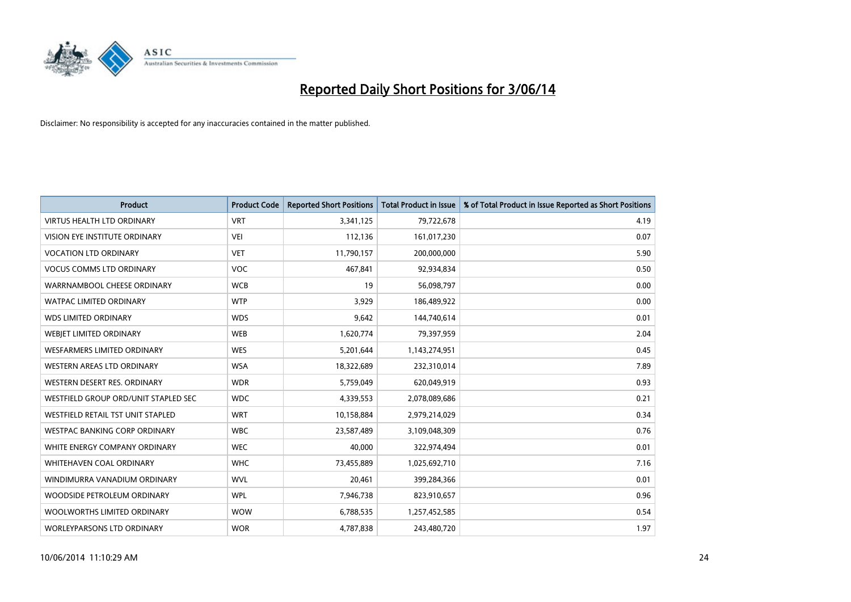

| <b>Product</b>                       | <b>Product Code</b> | <b>Reported Short Positions</b> | <b>Total Product in Issue</b> | % of Total Product in Issue Reported as Short Positions |
|--------------------------------------|---------------------|---------------------------------|-------------------------------|---------------------------------------------------------|
| <b>VIRTUS HEALTH LTD ORDINARY</b>    | <b>VRT</b>          | 3,341,125                       | 79,722,678                    | 4.19                                                    |
| VISION EYE INSTITUTE ORDINARY        | <b>VEI</b>          | 112,136                         | 161,017,230                   | 0.07                                                    |
| <b>VOCATION LTD ORDINARY</b>         | <b>VET</b>          | 11,790,157                      | 200,000,000                   | 5.90                                                    |
| <b>VOCUS COMMS LTD ORDINARY</b>      | <b>VOC</b>          | 467,841                         | 92,934,834                    | 0.50                                                    |
| WARRNAMBOOL CHEESE ORDINARY          | <b>WCB</b>          | 19                              | 56,098,797                    | 0.00                                                    |
| <b>WATPAC LIMITED ORDINARY</b>       | <b>WTP</b>          | 3,929                           | 186,489,922                   | 0.00                                                    |
| <b>WDS LIMITED ORDINARY</b>          | <b>WDS</b>          | 9,642                           | 144,740,614                   | 0.01                                                    |
| WEBIET LIMITED ORDINARY              | <b>WEB</b>          | 1,620,774                       | 79,397,959                    | 2.04                                                    |
| WESFARMERS LIMITED ORDINARY          | <b>WES</b>          | 5,201,644                       | 1,143,274,951                 | 0.45                                                    |
| WESTERN AREAS LTD ORDINARY           | <b>WSA</b>          | 18,322,689                      | 232,310,014                   | 7.89                                                    |
| WESTERN DESERT RES. ORDINARY         | <b>WDR</b>          | 5,759,049                       | 620,049,919                   | 0.93                                                    |
| WESTFIELD GROUP ORD/UNIT STAPLED SEC | <b>WDC</b>          | 4,339,553                       | 2,078,089,686                 | 0.21                                                    |
| WESTFIELD RETAIL TST UNIT STAPLED    | <b>WRT</b>          | 10,158,884                      | 2,979,214,029                 | 0.34                                                    |
| <b>WESTPAC BANKING CORP ORDINARY</b> | <b>WBC</b>          | 23,587,489                      | 3,109,048,309                 | 0.76                                                    |
| WHITE ENERGY COMPANY ORDINARY        | <b>WEC</b>          | 40,000                          | 322,974,494                   | 0.01                                                    |
| <b>WHITEHAVEN COAL ORDINARY</b>      | <b>WHC</b>          | 73,455,889                      | 1,025,692,710                 | 7.16                                                    |
| WINDIMURRA VANADIUM ORDINARY         | <b>WVL</b>          | 20,461                          | 399,284,366                   | 0.01                                                    |
| WOODSIDE PETROLEUM ORDINARY          | <b>WPL</b>          | 7,946,738                       | 823,910,657                   | 0.96                                                    |
| WOOLWORTHS LIMITED ORDINARY          | <b>WOW</b>          | 6,788,535                       | 1,257,452,585                 | 0.54                                                    |
| <b>WORLEYPARSONS LTD ORDINARY</b>    | <b>WOR</b>          | 4,787,838                       | 243,480,720                   | 1.97                                                    |